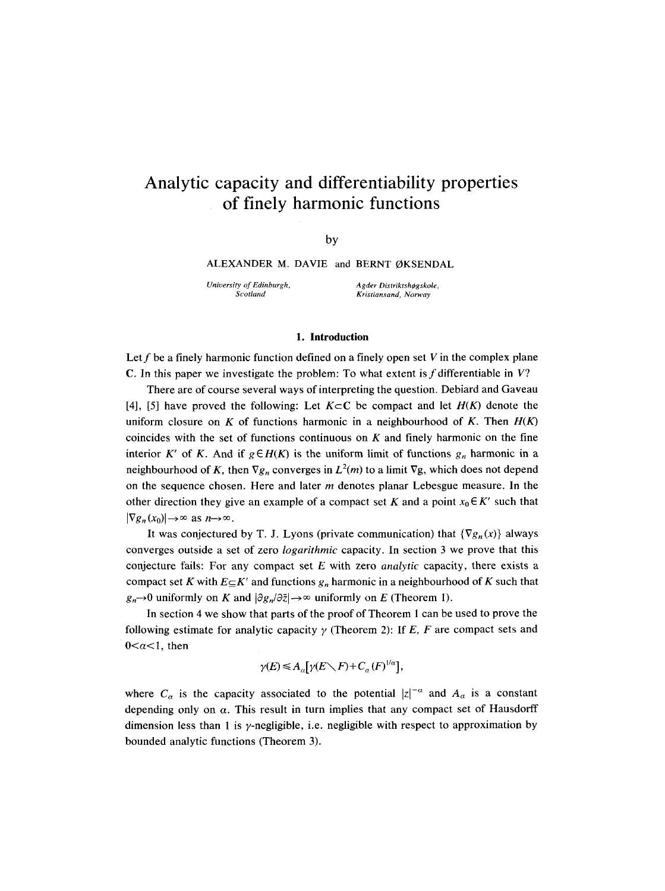# **Analytic capacity and differentiability properties of finely harmonic functions**

by

ALEXANDER M. DAVIE and BERNT ØKSENDAL

*University of Edinburgh, Scotland* 

 $A$ gder Distriktshøgskole, *Kristiansand, Norway* 

### **1. Introduction**

Let  $f$  be a finely harmonic function defined on a finely open set  $V$  in the complex plane C. In this paper we investigate the problem: To what extent is  $f$  differentiable in  $V$ ?

There are of course several ways of interpreting the question. Debiard and Gaveau [4], [5] have proved the following: Let  $K \subset \mathbb{C}$  be compact and let  $H(K)$  denote the uniform closure on K of functions harmonic in a neighbourhood of K. Then  $H(K)$ coincides with the set of functions continuous on  $K$  and finely harmonic on the fine interior K' of K. And if  $g \in H(K)$  is the uniform limit of functions  $g_n$  harmonic in a neighbourhood of K, then  $\nabla g_n$  converges in  $L^2(m)$  to a limit  $\nabla g$ , which does not depend on the sequence chosen. Here and later  $m$  denotes planar Lebesgue measure. In the other direction they give an example of a compact set K and a point  $x_0 \in K'$  such that  $|\nabla g_n(x_0)| \to \infty$  as  $n \to \infty$ .

It was conjectured by T. J. Lyons (private communication) that  $\{\nabla g_n(x)\}\$  always converges outside a set of zero *logarithmic* capacity. In section 3 we prove that this conjecture fails: For any compact set E with zero *analytic* capacity, there exists a compact set K with  $E \subseteq K'$  and functions  $g_n$  harmonic in a neighbourhood of K such that  $g_n \rightarrow 0$  uniformly on K and  $|\partial g_n/\partial \bar{z}| \rightarrow \infty$  uniformly on E (Theorem 1).

In section 4 we show that parts of the proof of Theorem 1 can be used to prove the following estimate for analytic capacity  $\gamma$  (Theorem 2): If E, F are compact sets and  $0 < a < 1$ , then

 $\gamma(E) \leq A_a[\gamma(E\diagdown F) + C_a(F)^{1/a}],$ 

where  $C_{\alpha}$  is the capacity associated to the potential  $|z|^{-\alpha}$  and  $A_{\alpha}$  is a constant depending only on  $\alpha$ . This result in turn implies that any compact set of Hausdorff dimension less than 1 is  $\gamma$ -negligible, i.e. negligible with respect to approximation by bounded analytic functions (Theorem 3).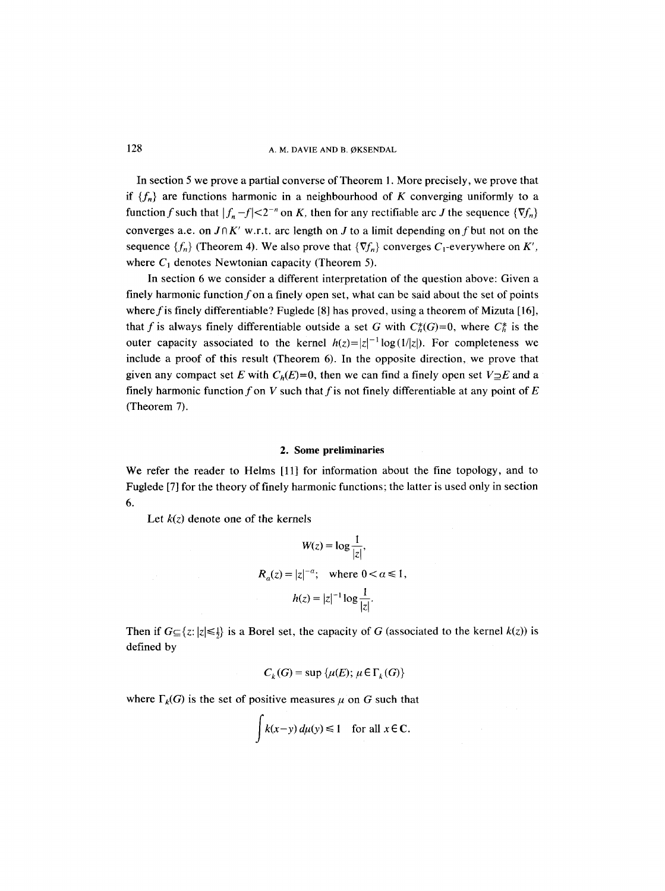In section 5 we prove a partial converse of Theorem 1. More precisely, we prove that if  ${f_n}$  are functions harmonic in a neighbourhood of K converging uniformly to a function f such that  $|f_n - f| < 2^{-n}$  on K, then for any rectifiable arc J the sequence  $\{\nabla f_n\}$ converges a.e. on  $J \cap K'$  w.r.t. arc length on J to a limit depending on f but not on the sequence  $\{f_n\}$  (Theorem 4). We also prove that  $\{\nabla f_n\}$  converges  $C_1$ -everywhere on K', where  $C_1$  denotes Newtonian capacity (Theorem 5).

In section 6 we consider a different interpretation of the question above: Given a finely harmonic function f on a finely open set, what can be said about the set of points where f is finely differentiable? Fuglede [8] has proved, using a theorem of Mizuta [16], that f is always finely differentiable outside a set G with  $C_h^*(G)=0$ , where  $C_h^*$  is the outer capacity associated to the kernel  $h(z)=|z|^{-1}\log(1/|z|)$ . For completeness we include a proof of this result (Theorem 6). In the opposite direction, we prove that given any compact set E with  $C_h(E)=0$ , then we can find a finely open set  $V\supseteq E$  and a finely harmonic function f on V such that f is not finely differentiable at any point of  $E$ (Theorem 7).

### 2. Some preliminaries

We refer the reader to Helms [11] for information about the fine topology, and to Fuglede [7] for the theory of finely harmonic functions; the latter is used only in section 6.

Let  $k(z)$  denote one of the kernels

$$
W(z) = \log \frac{1}{|z|},
$$
  
\n
$$
R_{\alpha}(z) = |z|^{-\alpha}; \text{ where } 0 < \alpha \le 1,
$$
  
\n
$$
h(z) = |z|^{-1} \log \frac{1}{|z|}.
$$

Then if  $G \subseteq \{z: |z| \leq \frac{1}{2}\}$  is a Borel set, the capacity of G (associated to the kernel  $k(z)$ ) is defined by

$$
C_k(G) = \sup \{ \mu(E); \, \mu \in \Gamma_k(G) \}
$$

where  $\Gamma_k(G)$  is the set of positive measures  $\mu$  on G such that

$$
\int k(x-y) d\mu(y) \le 1 \quad \text{for all } x \in \mathbb{C}.
$$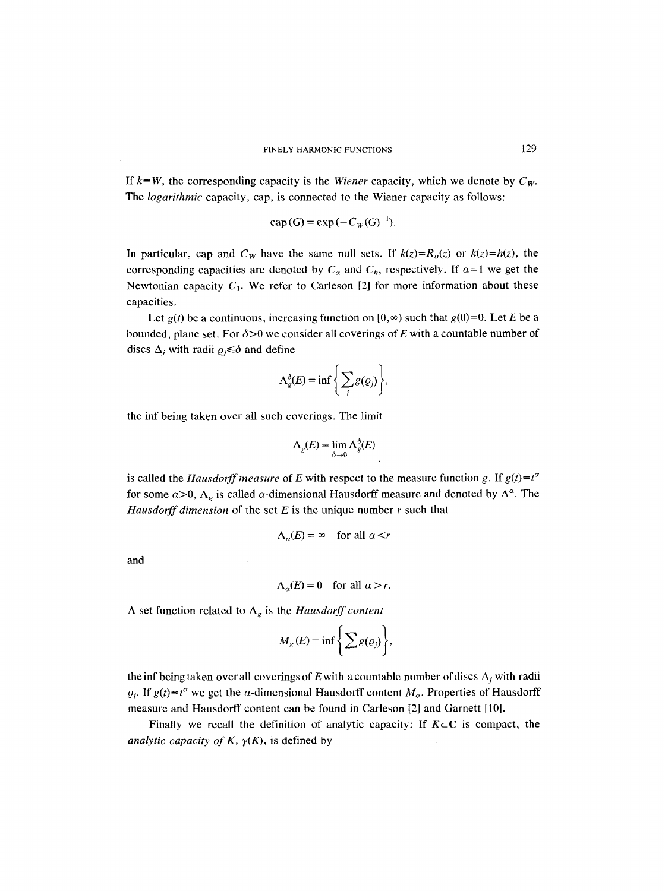If  $k = W$ , the corresponding capacity is the *Wiener* capacity, which we denote by  $C_W$ . The *logarithmic* capacity, cap, is connected to the Wiener capacity as follows:

$$
\operatorname{cap}(G) = \exp(-C_W(G)^{-1}).
$$

In particular, cap and  $C_W$  have the same null sets. If  $k(z)=R_\alpha(z)$  or  $k(z)=h(z)$ , the corresponding capacities are denoted by  $C_{\alpha}$  and  $C_h$ , respectively. If  $\alpha=1$  we get the Newtonian capacity  $C_1$ . We refer to Carleson [2] for more information about these capacities.

Let  $g(t)$  be a continuous, increasing function on  $[0, \infty)$  such that  $g(0)=0$ . Let E be a bounded, plane set. For  $\delta > 0$  we consider all coverings of E with a countable number of discs  $\Delta_i$  with radii  $\varrho_i \leq \delta$  and define

$$
\Lambda_g^{\delta}(E) = \inf \Bigg\{ \sum_j g(\varrho_j) \Bigg\},\,
$$

the inf being taken over all such coverings. The limit

$$
\Lambda_g(E) = \lim_{\delta \to 0} \Lambda_g^{\delta}(E)
$$

is called the *Hausdorff measure* of E with respect to the measure function g. If  $g(t)=t^{\alpha}$ for some  $\alpha > 0$ ,  $\Lambda_{\rho}$  is called  $\alpha$ -dimensional Hausdorff measure and denoted by  $\Lambda^{\alpha}$ . The *Hausdorff dimension* of the set  $E$  is the unique number  $r$  such that

$$
\Lambda_{\alpha}(E) = \infty \quad \text{for all } \alpha < r
$$

and

$$
\Lambda_{\alpha}(E) = 0 \quad \text{for all } \alpha > r.
$$

A set function related to  $\Lambda_g$  is the *Hausdorff content* 

$$
M_g(E) = \inf \left\{ \sum g(\varrho_j) \right\},\,
$$

the inf being taken over all coverings of E with a countable number of discs  $\Delta_i$  with radii  $\varrho_i$ . If  $g(t)=t^\alpha$  we get the  $\alpha$ -dimensional Hausdorff content  $M_\alpha$ . Properties of Hausdorff measure and Hausdorff content can be found in Carleson [2] and Garnett [10].

Finally we recall the definition of analytic capacity: If  $K \subset \mathbb{C}$  is compact, the *analytic capacity of K,*  $\gamma(K)$ *, is defined by*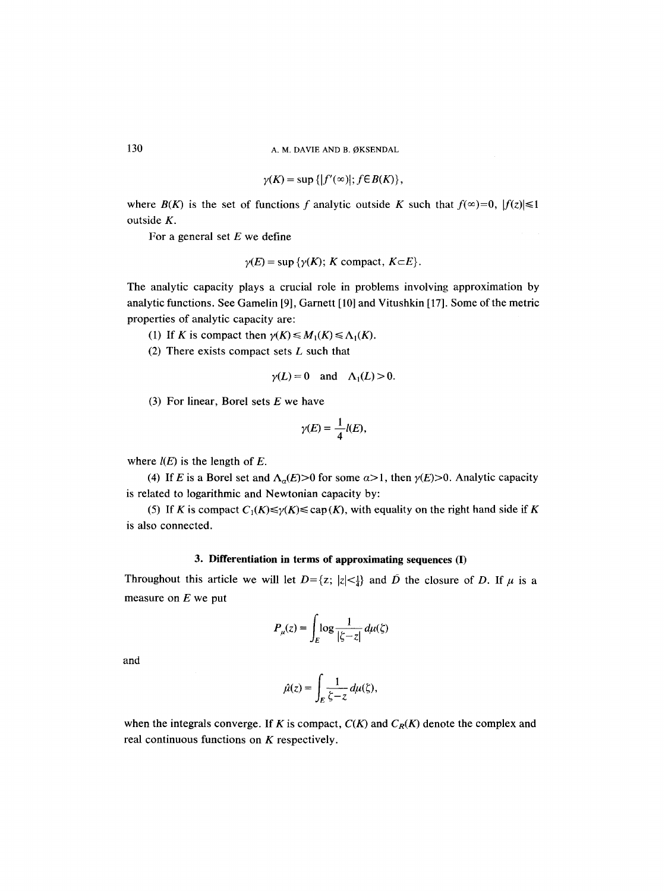$$
\gamma(K) = \sup \{|f'(\infty)|; f \in B(K)\},\
$$

where  $B(K)$  is the set of functions f analytic outside K such that  $f(x)=0$ ,  $|f(z)| \leq 1$ outside K.

For a general set  $E$  we define

$$
\gamma(E) = \sup \{ \gamma(K); K \text{ compact}, K \subset E \}.
$$

The analytic capacity plays a crucial role in problems involving approximation by analytic functions. See Gamelin [9], Garnett [10] and Vitushkin [17]. Some of the metric properties of analytic capacity are:

(1) If K is compact then  $\gamma(K) \leq M_1(K) \leq \Lambda_1(K)$ .

(2) There exists compact sets  $L$  such that

$$
\gamma(L) = 0
$$
 and  $\Lambda_1(L) > 0$ .

(3) For linear, Borel sets  $E$  we have

$$
\gamma(E)=\frac{1}{4}l(E),
$$

where  $l(E)$  is the length of E.

(4) If E is a Borel set and  $\Lambda_{\alpha}(E) > 0$  for some  $\alpha > 1$ , then  $\gamma(E) > 0$ . Analytic capacity is related to logarithmic and Newtonian capacity by:

(5) If K is compact  $C_1(K) \le \gamma(K) \le \text{cap}(K)$ , with equality on the right hand side if K is also connected.

### **3. Differentiation in terms of approximating sequences (I)**

Throughout this article we will let  $D = \{z; |z| < \frac{1}{4}\}$  and  $\overline{D}$  the closure of D. If  $\mu$  is a measure on  $E$  we put

$$
P_{\mu}(z) = \int_{E} \log \frac{1}{|\zeta - z|} \, d\mu(\zeta)
$$

 $\mathbf{r}$ 

and

$$
\hat{\mu}(z) = \int_E \frac{1}{\zeta - z} \, d\mu(\zeta),
$$

when the integrals converge. If K is compact,  $C(K)$  and  $C_R(K)$  denote the complex and real continuous functions on  $K$  respectively.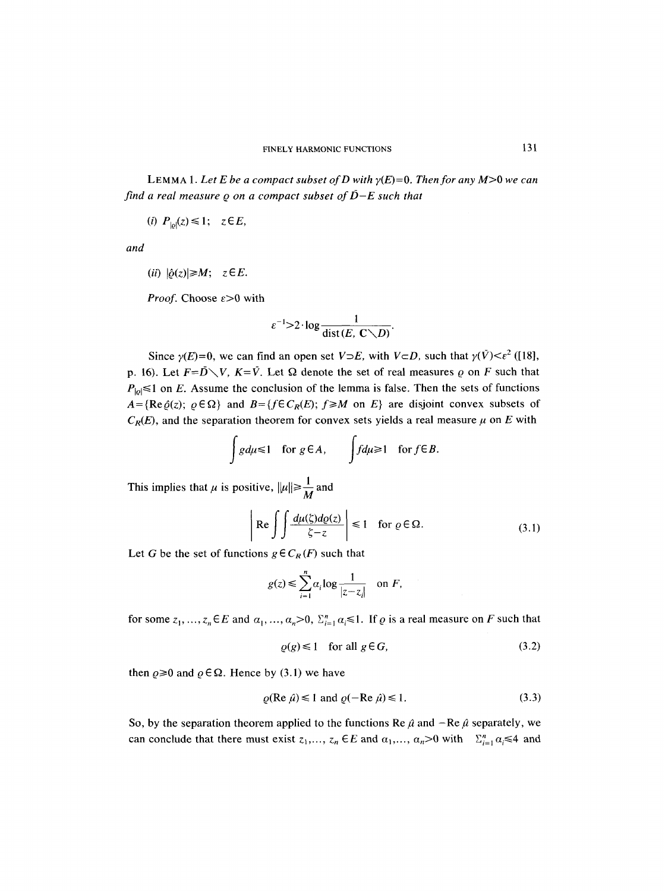LEMMA 1. Let E be a compact subset of D with  $\gamma(E)=0$ . Then for any  $M>0$  we can *find a real measure*  $\rho$  *on a compact subset of*  $\bar{D}-E$  *such that* 

*(i)*  $P_{10}(z) \leq 1$ ;  $z \in E$ ,

*and* 

 $(iii)$   $|\hat{\rho}(z)| \geq M$ ;  $z \in E$ .

*Proof.* Choose  $\varepsilon > 0$  with

$$
\varepsilon^{-1} > 2 \cdot \log \frac{1}{\text{dist}(E, \mathbf{C} \setminus D)}.
$$

Since  $\gamma(E)=0$ , we can find an open set  $V\supset E$ , with  $V\supset D$ , such that  $\gamma(\bar{V})<\varepsilon^2$  ([18], p. 16). Let  $F = \overline{D} \setminus V$ ,  $K = \overline{V}$ . Let  $\Omega$  denote the set of real measures  $\rho$  on F such that  $P_{|p|} \le 1$  on E. Assume the conclusion of the lemma is false. Then the sets of functions  $A = {Re \hat{\varrho}(z); \varrho \in \Omega}$  and  $B = {f \in C_R(E); f \ge M \text{ on } E}$  are disjoint convex subsets of  $C_R(E)$ , and the separation theorem for convex sets yields a real measure  $\mu$  on E with

$$
\int g d\mu \leq 1 \quad \text{for } g \in A, \qquad \int f d\mu \geq 1 \quad \text{for } f \in B.
$$

This implies that  $\mu$  is positive,  $\|\mu\| \geq \frac{1}{M}$  and

$$
\left| \operatorname{Re} \int \int \frac{d\mu(\zeta) d\varrho(z)}{\zeta - z} \right| \le 1 \quad \text{for } \varrho \in \Omega. \tag{3.1}
$$

Let G be the set of functions  $g \in C_R(F)$  such that

$$
g(z) \le \sum_{i=1}^n \alpha_i \log \frac{1}{|z - z_i|} \quad \text{on } F,
$$

for some  $z_1, ..., z_n \in E$  and  $\alpha_1, ..., \alpha_n > 0$ ,  $\sum_{i=1}^n \alpha_i \le 1$ . If  $\varrho$  is a real measure on F such that

$$
\varrho(g) \le 1 \quad \text{for all } g \in G,\tag{3.2}
$$

then  $\rho \ge 0$  and  $\rho \in \Omega$ . Hence by (3.1) we have

$$
\rho(\text{Re }\hat{\mu}) \le 1 \text{ and } \rho(-\text{Re }\hat{\mu}) \le 1. \tag{3.3}
$$

So, by the separation theorem applied to the functions Re  $\hat{\mu}$  and  $-Re \hat{\mu}$  separately, we can conclude that there must exist  $z_1, ..., z_n \in E$  and  $\alpha_1, ..., \alpha_n > 0$  with  $\Sigma_{i=1}^n \alpha_i \leq 4$  and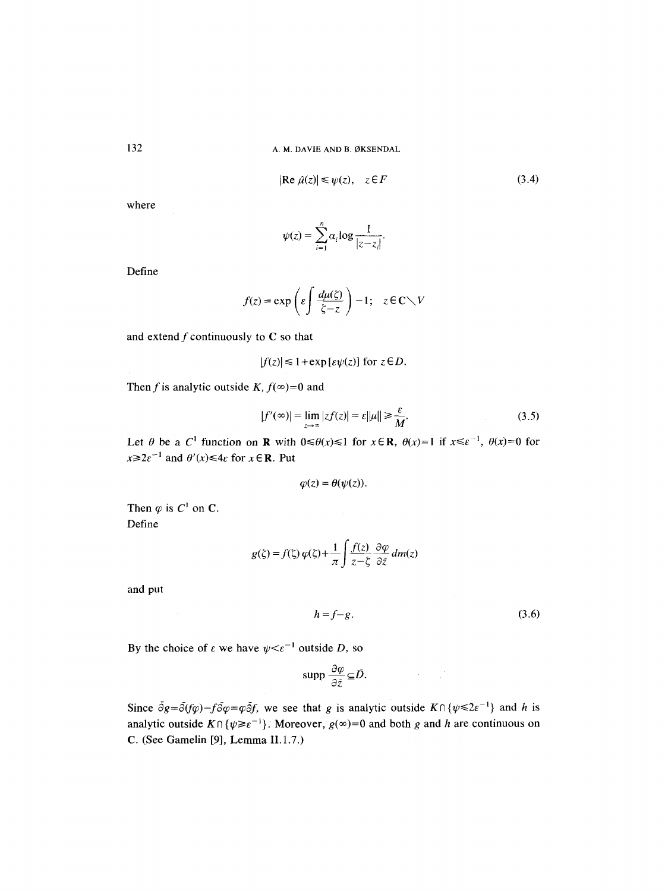$$
|\text{Re } \hat{\mu}(z)| \le \psi(z), \quad z \in F \tag{3.4}
$$

where

$$
\psi(z) = \sum_{i=1}^n \alpha_i \log \frac{1}{|z - z_i|}.
$$

Define

$$
f(z) = \exp\left(\varepsilon \int \frac{d\mu(\zeta)}{\zeta - z}\right) - 1; \quad z \in \mathbb{C} \setminus V
$$

and extend  $f$  continuously to  $C$  so that

$$
|f(z)| \leq 1 + \exp\left[\varepsilon \psi(z)\right] \text{ for } z \in D.
$$

Then f is analytic outside K,  $f(x)=0$  and

$$
|f'(\infty)| = \lim_{z \to \infty} |zf(z)| = \varepsilon ||\mu|| \ge \frac{\varepsilon}{M}.
$$
 (3.5)

Let  $\theta$  be a C<sup>1</sup> function on **R** with  $0 \le \theta(x) \le 1$  for  $x \in \mathbb{R}$ ,  $\theta(x)=1$  if  $x \le \epsilon^{-1}$ ,  $\theta(x)=0$  for  $x \ge 2e^{-1}$  and  $\theta'(x) \le 4e$  for  $x \in \mathbb{R}$ . Put

$$
\varphi(z)=\theta(\psi(z)).
$$

Then  $\varphi$  is  $C^1$  on C. Define

$$
g(\zeta) = f(\zeta) \varphi(\zeta) + \frac{1}{\pi} \int \frac{f(z)}{z - \zeta} \frac{\partial \varphi}{\partial \bar{z}} dm(z)
$$

and put

 $h = f-g.$  (3.6)

By the choice of  $\varepsilon$  we have  $\psi < \varepsilon^{-1}$  outside D, so

$$
\text{supp }\frac{\partial \varphi}{\partial \bar{z}} \subseteq \bar{D}.
$$

Since  $\bar{\partial}g = \bar{\partial}(f\varphi) - f\bar{\partial}\varphi = \varphi\bar{\partial}f$ , we see that g is analytic outside  $K \cap {\psi \leq 2\epsilon^{-1}}$  and h is analytic outside  $K \cap \{\psi \ge \varepsilon^{-1}\}\)$ . Moreover,  $g(\infty)=0$  and both g and h are continuous on C. (See Gamelin [9], Lemma II.1.7.)

132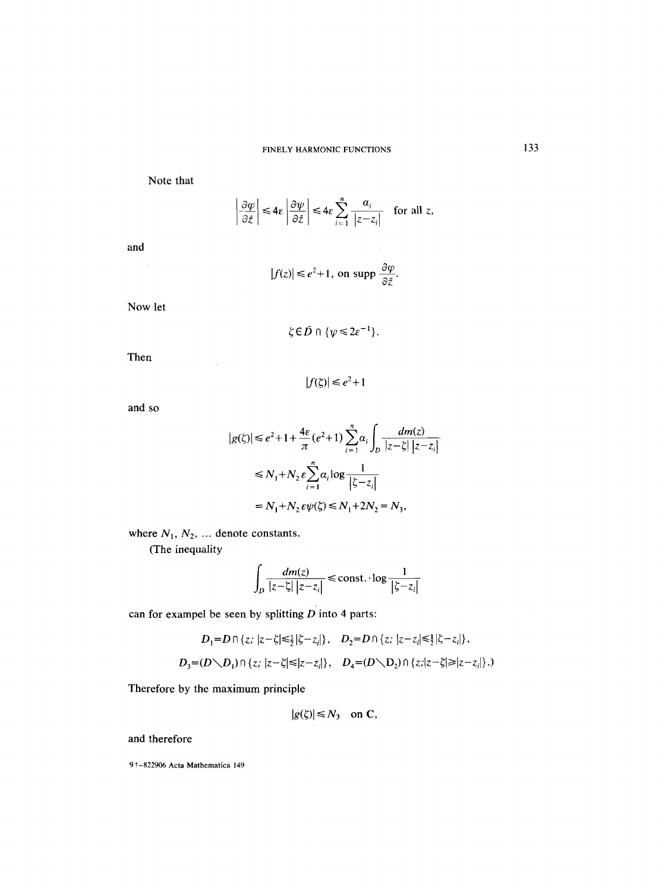Note that

$$
\left|\frac{\partial \varphi}{\partial \bar{z}}\right| \leq 4\varepsilon \left|\frac{\partial \psi}{\partial \bar{z}}\right| \leq 4\varepsilon \sum_{i=1}^n \frac{a_i}{|z-z_i|} \quad \text{for all } z,
$$

$$
\quad \text{and} \quad
$$

$$
|f(z)| \le e^2 + 1, \text{ on } \operatorname{supp} \frac{\partial \varphi}{\partial \bar{z}}.
$$

Now let

$$
\zeta \in \bar{D} \cap \{\psi \leq 2\varepsilon^{-1}\}.
$$

Then

 $|f(\zeta)| \leq e^2 + 1$ 

and so

$$
|g(\zeta)| \le e^2 + 1 + \frac{4\varepsilon}{\pi} (e^2 + 1) \sum_{i=1}^n \alpha_i \int_D \frac{dm(z)}{|z - \zeta| |z - z_i|}
$$
  

$$
\le N_1 + N_2 \varepsilon \sum_{i=1}^n \alpha_i \log \frac{1}{|\zeta - z_i|}
$$
  

$$
= N_1 + N_2 \varepsilon \psi(\zeta) \le N_1 + 2N_2 = N_3,
$$

where  $N_1, N_2, \ldots$  denote constants.

(The inequality

$$
\int_D \frac{dm(z)}{|z-\zeta| |z-z_i|} \le \text{const.} \cdot \log \frac{1}{|\zeta-z_i|}
$$

can for exampel be seen by splitting  $D$  into 4 parts:

$$
D_1 = D \cap \{z; |z - \zeta| \le \frac{1}{2} |\zeta - z_i| \}, \quad D_2 = D \cap \{z; |z - z_i| \le \frac{1}{2} |\zeta - z_i| \},
$$
  

$$
D_3 = (D \setminus D_1) \cap \{z; |z - \zeta| \le |z - z_i| \}, \quad D_4 = (D \setminus D_2) \cap \{z; |z - \zeta| \ge |z - z_i| \}.
$$

Therefore by the maximum principle

$$
|g(\zeta)| \leq N_3
$$
 on C,

and therefore

9 t-822906 Acta Mathematica 149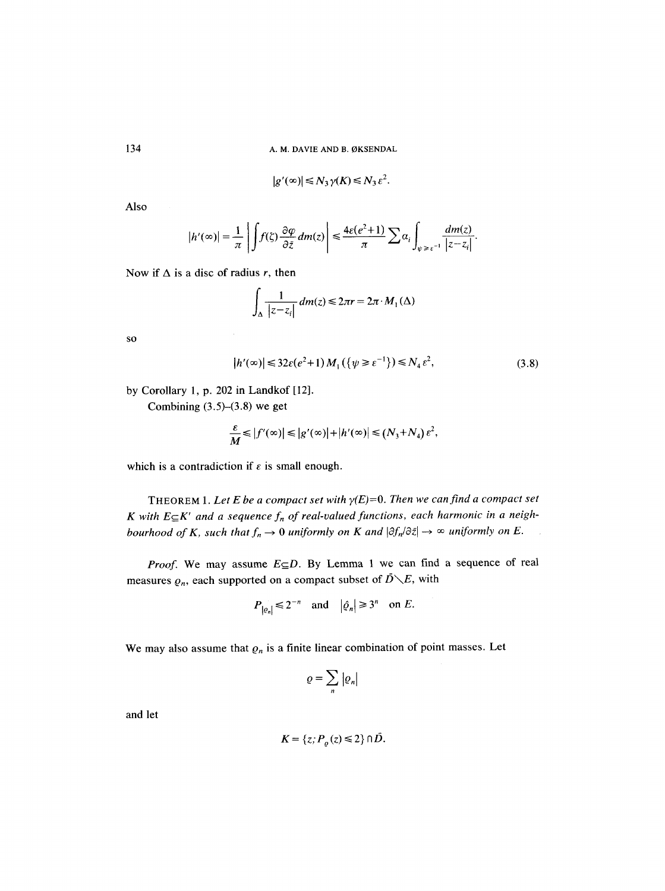$$
|g'(\infty)| \le N_3 \gamma(K) \le N_3 \varepsilon^2.
$$

Also

$$
|h'(\infty)|=\frac{1}{\pi}\left|\int f(\zeta)\frac{\partial\varphi}{\partial\bar{z}}dm(z)\right|\leq \frac{4\varepsilon(e^2+1)}{\pi}\sum\alpha_i\int_{\psi\geq\varepsilon^{-1}}\frac{dm(z)}{|z-z_i|}.
$$

Now if  $\Delta$  is a disc of radius *r*, then

$$
\int_{\Delta} \frac{1}{|z-z_i|} dm(z) \leq 2\pi r = 2\pi \cdot M_1(\Delta)
$$

SO

$$
|h'(\infty)| \le 32\varepsilon(e^2 + 1) M_1(\{\psi \ge \varepsilon^{-1}\}) \le N_4 \varepsilon^2, \tag{3.8}
$$

by Corollary 1, p. 202 in Landkof [12].

Combining  $(3.5)$ – $(3.8)$  we get

$$
\frac{\varepsilon}{M} \leq |f'(\infty)| \leq |g'(\infty)| + |h'(\infty)| \leq (N_3 + N_4) \varepsilon^2,
$$

which is a contradiction if  $\varepsilon$  is small enough.

THEOREM 1. Let E be a compact set with  $\gamma(E)=0$ . Then we can find a compact set K with  $E \subseteq K'$  and a sequence  $f_n$  of real-valued functions, each harmonic in a neigh*bourhood of K, such that*  $f_n \to 0$  uniformly on K and  $|\partial f_n/\partial \bar{z}| \to \infty$  uniformly on E.

*Proof.* We may assume  $E \subseteq D$ . By Lemma 1 we can find a sequence of real measures  $\varrho_n$ , each supported on a compact subset of  $\overline{D}\setminus E$ , with

$$
P_{|e_n|} \le 2^{-n} \quad \text{and} \quad |\hat{\varrho}_n| \ge 3^n \quad \text{on } E.
$$

We may also assume that  $\varrho_n$  is a finite linear combination of point masses. Let

$$
\varrho=\sum_n\left|\varrho_n\right|
$$

and let

$$
K = \{z; P_o(z) \leq 2\} \cap \overline{D}.
$$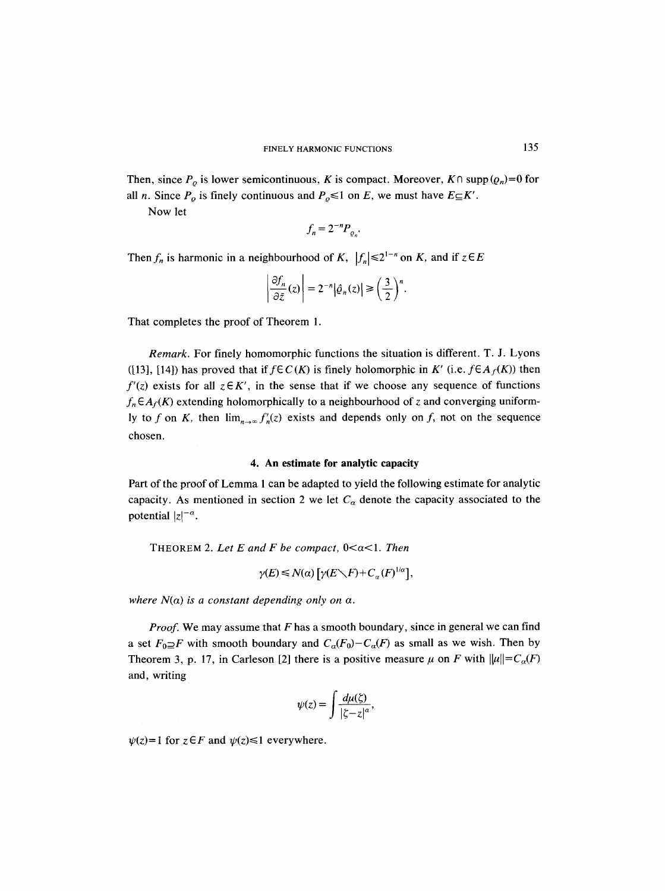Then, since  $P_0$  is lower semicontinuous, K is compact. Moreover,  $K \cap \text{supp}(\rho_n)=0$  for all *n*. Since  $P_{\rho}$  is finely continuous and  $P_{\rho} \le 1$  on *E*, we must have  $E \subseteq K'$ .

Now let

$$
f_n = 2^{-n} P_{\varrho_n}.
$$

Then  $f_n$  is harmonic in a neighbourhood of K,  $|f_n| \le 2^{1-n}$  on K, and if  $z \in E$ 

$$
\left|\frac{\partial f_n}{\partial \bar{z}}(z)\right| = 2^{-n} |\hat{\varrho}_n(z)| \ge \left(\frac{3}{2}\right)^n.
$$

That completes the proof of Theorem 1.

*Remark.* For finely homomorphic functions the situation is different. T. J. Lyons ([13], [14]) has proved that if  $f \in C(K)$  is finely holomorphic in K' (i.e.  $f \in A_f(K)$ ) then  $f'(z)$  exists for all  $z \in K'$ , in the sense that if we choose any sequence of functions  $f_n \in A_f(K)$  extending holomorphically to a neighbourhood of z and converging uniformly to f on K, then  $\lim_{n\to\infty} f'_n(z)$  exists and depends only on f, not on the sequence chosen.

### **4. An estimate for analytic capacity**

Part of the proof of Lemma 1 can be adapted to yield the following estimate for analytic capacity. As mentioned in section 2 we let  $C_{\alpha}$  denote the capacity associated to the potential  $|z|^{-\alpha}$ .

THEOREM 2. Let E and F be compact,  $0 < \alpha < 1$ . Then

$$
\gamma(E) \le N(\alpha) \left[ \gamma(E \setminus F) + C_{\alpha}(F)^{1/\alpha} \right],
$$

*where*  $N(\alpha)$  *is a constant depending only on*  $\alpha$ *.* 

*Proof.* We may assume that F has a smooth boundary, since in general we can find a set  $F_0 \supseteq F$  with smooth boundary and  $C_a(F_0) - C_a(F)$  as small as we wish. Then by Theorem 3, p. 17, in Carleson [2] there is a positive measure  $\mu$  on F with  $\|\mu\| = C_{\alpha}(F)$ and, writing

$$
\psi(z) = \int \frac{d\mu(\zeta)}{|\zeta - z|^{\alpha}},
$$

 $\psi(z) = 1$  for  $z \in F$  and  $\psi(z) \le 1$  everywhere.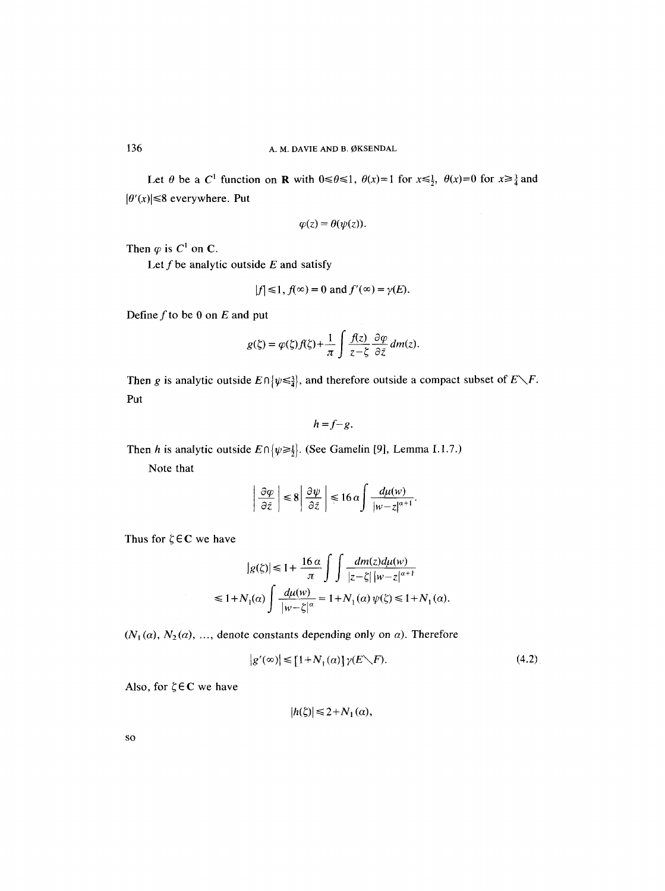Let  $\theta$  be a C<sup>1</sup> function on **R** with  $0 \le \theta \le 1$ ,  $\theta(x)=1$  for  $x \le \frac{1}{2}$ ,  $\theta(x)=0$  for  $x \ge \frac{3}{4}$  and  $|\theta'(x)| \leq 8$  everywhere. Put

$$
\varphi(z)=\theta(\psi(z)).
$$

Then  $\varphi$  is  $C^1$  on C.

Let  $f$  be analytic outside  $E$  and satisfy

$$
|f| \leq 1, f(\infty) = 0 \text{ and } f'(\infty) = \gamma(E).
$$

Define  $f$  to be 0 on  $E$  and put

$$
g(\zeta) = \varphi(\zeta)f(\zeta) + \frac{1}{\pi} \int \frac{f(z)}{z - \zeta} \frac{\partial \varphi}{\partial \bar{z}} dm(z).
$$

Then g is analytic outside  $E \cap {\psi \leq \frac{3}{4}}$ , and therefore outside a compact subset of  $E \setminus F$ . Put

$$
h=f-g.
$$

Then h is analytic outside  $E \cap {\psi \ge \frac{1}{2}}$ . (See Gamelin [9], Lemma I.1.7.)

Note that

$$
\left|\frac{\partial \varphi}{\partial \bar{z}}\right| \leq 8 \left|\frac{\partial \psi}{\partial \bar{z}}\right| \leq 16 \alpha \int \frac{d\mu(w)}{|w-z|^{\alpha+1}}.
$$

Thus for  $\zeta \in \mathbb{C}$  we have

$$
|g(\xi)| \le 1 + \frac{16 \alpha}{\pi} \int \int \frac{dm(z)d\mu(w)}{|z - \xi| |w - z|^{\alpha + 1}}
$$
  

$$
\le 1 + N_1(\alpha) \int \frac{d\mu(w)}{|w - \xi|^{\alpha}} = 1 + N_1(\alpha) \psi(\xi) \le 1 + N_1(\alpha).
$$

 $(N_1(\alpha), N_2(\alpha), \ldots)$ , denote constants depending only on  $\alpha$ ). Therefore

$$
|g'(\infty)| \le [1 + N_1(\alpha)] \gamma(E \setminus F). \tag{4.2}
$$

Also, for  $\zeta \in \mathbb{C}$  we have

$$
|h(\zeta)| \leq 2 + N_1(\alpha),
$$

SO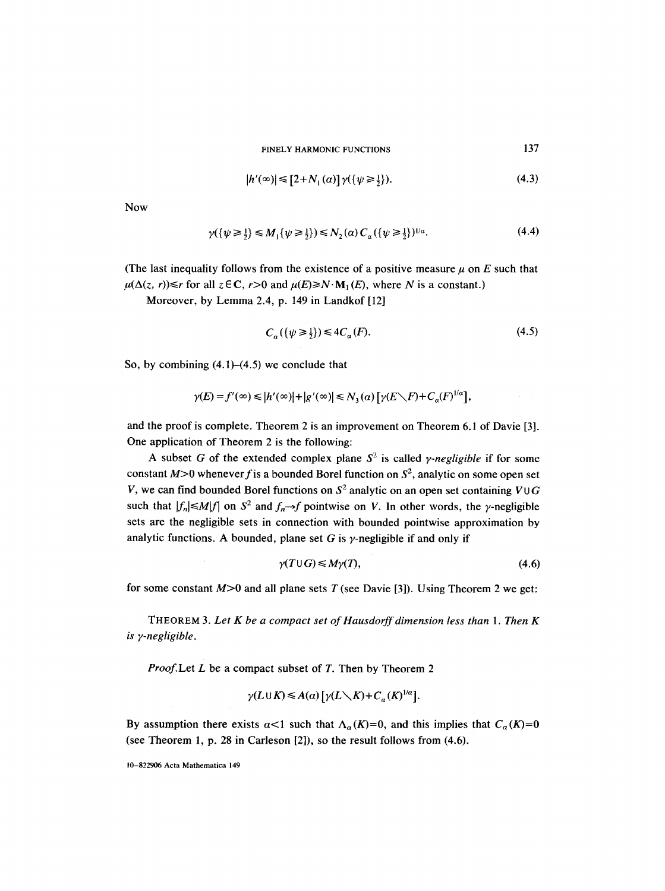FINELY HARMONIC FUNCTIONS

$$
|h'(\infty)| \le [2 + N_1(\alpha)] \gamma(\{\psi \ge \frac{1}{2}\}). \tag{4.3}
$$

137

Now

$$
\gamma(\{\psi \ge \frac{1}{2}\} \le M_1\{\psi \ge \frac{1}{2}\}) \le N_2(\alpha) C_\alpha(\{\psi \ge \frac{1}{2}\})^{1/\alpha}.
$$
\n(4.4)

(The last inequality follows from the existence of a positive measure  $\mu$  on E such that  $\mu(\Delta(z, r)) \le r$  for all  $z \in \mathbb{C}$ ,  $r > 0$  and  $\mu(E) \ge N \cdot M_1(E)$ , where N is a constant.)

Moreover, by Lemma 2.4, p. 149 in Landkof [12]

$$
C_a({\psi \ge \frac{1}{2}}) \le 4C_a(F). \tag{4.5}
$$

So, by combining (4.1)-(4.5) we conclude that

$$
\gamma(E) = f'(\infty) \le |h'(\infty)| + |g'(\infty)| \le N_3(\alpha) \left[ \gamma(E \setminus F) + C_{\alpha}(F)^{1/\alpha} \right],
$$

and the proof is complete. Theorem 2 is an improvement on Theorem 6. l of Davie [3]. One application of Theorem 2 is the following:

A subset G of the extended complex plane  $S^2$  is called *y-negligible* if for some constant  $M>0$  whenever f is a bounded Borel function on  $S^2$ , analytic on some open set V, we can find bounded Borel functions on  $S^2$  analytic on an open set containing VUG such that  $|f_n| \le M |f|$  on  $S^2$  and  $f_n \to f$  pointwise on V. In other words, the y-negligible sets are the negligible sets in connection with bounded pointwise approximation by analytic functions. A bounded, plane set G is  $\gamma$ -negligible if and only if

$$
\gamma(T \cup G) \leqslant M\gamma(T),\tag{4.6}
$$

for some constant  $M>0$  and all plane sets T (see Davie [3]). Using Theorem 2 we get:

THEOREM **3.** *Let K be a compact set of Hausdorff dimension less than 1. Then K is y-negligible.* 

*Proof.Let L be a compact subset of T. Then by Theorem 2* 

$$
\gamma(L\cup K)\leq A(\alpha)\left[\gamma(L\diagdown K)+C_{\alpha}(K)^{1/\alpha}\right].
$$

By assumption there exists  $\alpha < 1$  such that  $\Lambda_{\alpha}(K)=0$ , and this implies that  $C_{\alpha}(K)=0$ (see Theorem 1, p. 28 in Carleson [2]), so the result follows from (4.6).

10-822906 Acta Mathematica 149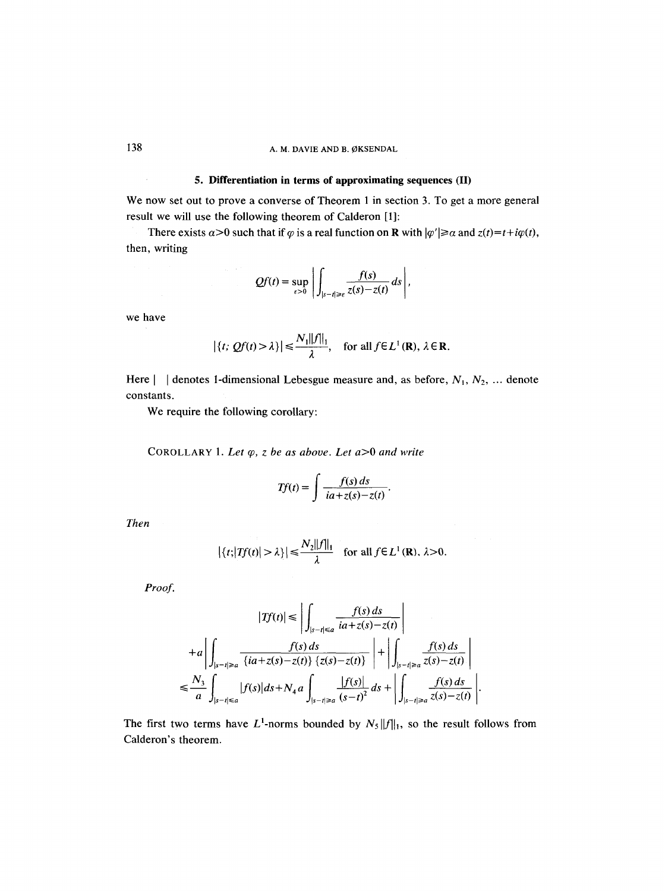### **5. Differentiation in terms of approximating sequences (II)**

We now set out to prove a converse of Theorem 1 in section 3. To get a more general result we will use the following theorem of Calderon [1]:

There exists  $\alpha > 0$  such that if  $\varphi$  is a real function on **R** with  $|\varphi'| \ge \alpha$  and  $z(t) = t + i\varphi(t)$ , then, writing

$$
Qf(t) = \sup_{\varepsilon > 0} \left| \int_{|s-t| \geq \varepsilon} \frac{f(s)}{z(s) - z(t)} ds \right|,
$$

we have

$$
|\{t; Qf(t) > \lambda\}| \leq \frac{N_1 ||f||_1}{\lambda}
$$
, for all  $f \in L^1(\mathbf{R})$ ,  $\lambda \in \mathbf{R}$ .

Here  $\vert$  | denotes 1-dimensional Lebesgue measure and, as before,  $N_1, N_2, \ldots$  denote constants.

We require the following corollary:

COROLLARY 1. Let  $\varphi$ , z be as above. Let  $a > 0$  and write

$$
Tf(t) = \int \frac{f(s) ds}{ia + z(s) - z(t)}.
$$

*Then* 

$$
|\{t; |Tf(t)| > \lambda\}| \leq \frac{N_2||f||_1}{\lambda}
$$
 for all  $f \in L^1(\mathbf{R}), \lambda > 0$ .

*Proof.* 

$$
|Tf(t)| \leq \left| \int_{|s-t| \leq a} \frac{f(s) ds}{ia + z(s) - z(t)} \right|
$$
  
+
$$
+ a \left| \int_{|s-t| \geq a} \frac{f(s) ds}{\{ia + z(s) - z(t)\} \{z(s) - z(t)\}} \right| + \left| \int_{|s-t| \geq a} \frac{f(s) ds}{z(s) - z(t)} \right|
$$
  

$$
\leq \frac{N_3}{a} \int_{|s-t| \leq a} |f(s)| ds + N_4 a \int_{|s-t| \geq a} \frac{|f(s)|}{(s-t)^2} ds + \left| \int_{|s-t| \geq a} \frac{f(s) ds}{z(s) - z(t)} \right|.
$$

The first two terms have  $L^1$ -norms bounded by  $N_5 ||f||_1$ , so the result follows from Calderon's theorem.

 $\sim$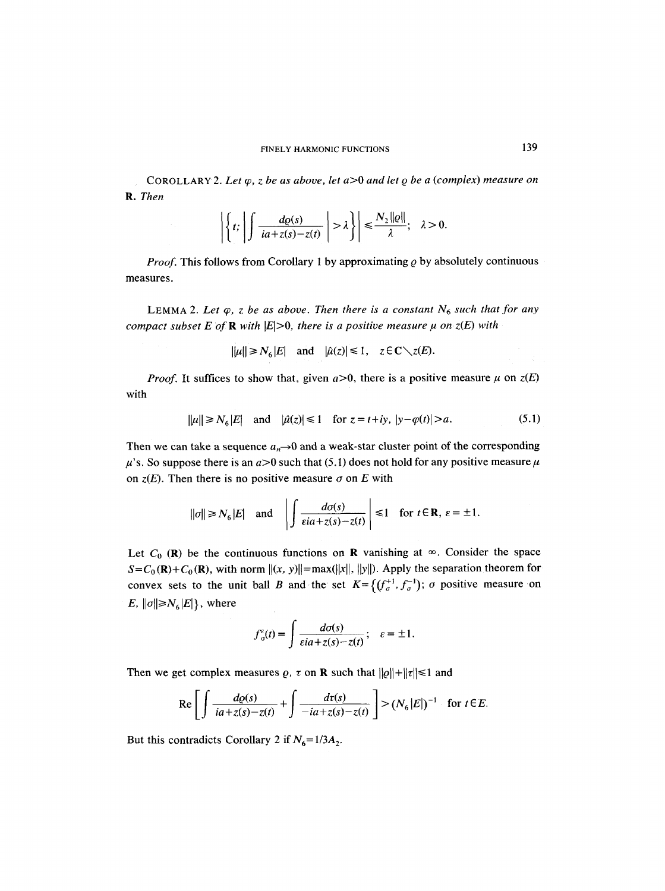COROLLARY 2. Let  $\varphi$ , z be as above, let  $a > 0$  and let  $\varphi$  be a (complex) measure on *R. Then* 

$$
\left|\left\{t;\left|\int \frac{d\varrho(s)}{ia+z(s)-z(t)}\right|>\lambda\right\}\right|\leq \frac{N_2\|\varrho\|}{\lambda};\quad \lambda>0.
$$

*Proof.* This follows from Corollary 1 by approximating  $\varrho$  by absolutely continuous measures.

LEMMA 2. Let  $\varphi$ , z be as above. Then there is a constant  $N_6$  such that for any *compact subset E of R with*  $|E|>0$ *, there is a positive measure*  $\mu$  *on*  $z(E)$  *with* 

$$
||\mu|| \ge N_6|E|
$$
 and  $|\hat{\mu}(z)| \le 1$ ,  $z \in \mathbb{C} \setminus z(E)$ .

*Proof.* It suffices to show that, given  $a>0$ , there is a positive measure  $\mu$  on  $z(E)$ with

$$
\|\mu\| \ge N_6|E| \quad \text{and} \quad |\hat{\mu}(z)| \le 1 \quad \text{for } z = t + iy, \ |\bar{y} - \varphi(t)| > a. \tag{5.1}
$$

Then we can take a sequence  $a_n \rightarrow 0$  and a weak-star cluster point of the corresponding  $\mu$ 's. So suppose there is an  $a>0$  such that (5.1) does not hold for any positive measure  $\mu$ on  $z(E)$ . Then there is no positive measure  $\sigma$  on E with

$$
||\sigma|| \ge N_6|E|
$$
 and  $\left|\int \frac{d\sigma(s)}{\varepsilon ia + z(s) - z(t)}\right| \le 1$  for  $t \in \mathbb{R}$ ,  $\varepsilon = \pm 1$ .

Let  $C_0$  (R) be the continuous functions on R vanishing at  $\infty$ . Consider the space  $S = C_0(\mathbf{R}) + C_0(\mathbf{R})$ , with norm  $\|(x, y)\| = \max(\|x\|, \|y\|)$ . Apply the separation theorem for convex sets to the unit ball B and the set  $K = \{ (f_{\sigma}^{+1}, f_{\sigma}^{-1}) ; \sigma \text{ positive measure on} \}$  $E, ||\sigma|| \geq N_6 |E|$ , where

$$
f_{\sigma}^{\varepsilon}(t) = \int \frac{d\sigma(s)}{\varepsilon i a + z(s) - z(t)}; \quad \varepsilon = \pm 1.
$$

Then we get complex measures  $\rho$ ,  $\tau$  on **R** such that  $||\rho|| + ||\tau|| \le 1$  and

$$
\operatorname{Re}\left[\int \frac{d\varrho(s)}{ia+z(s)-z(t)}+\int \frac{d\tau(s)}{-ia+z(s)-z(t)}\right] > (N_6|E|)^{-1} \quad \text{for } t \in E.
$$

But this contradicts Corollary 2 if  $N_6 = 1/3A_2$ .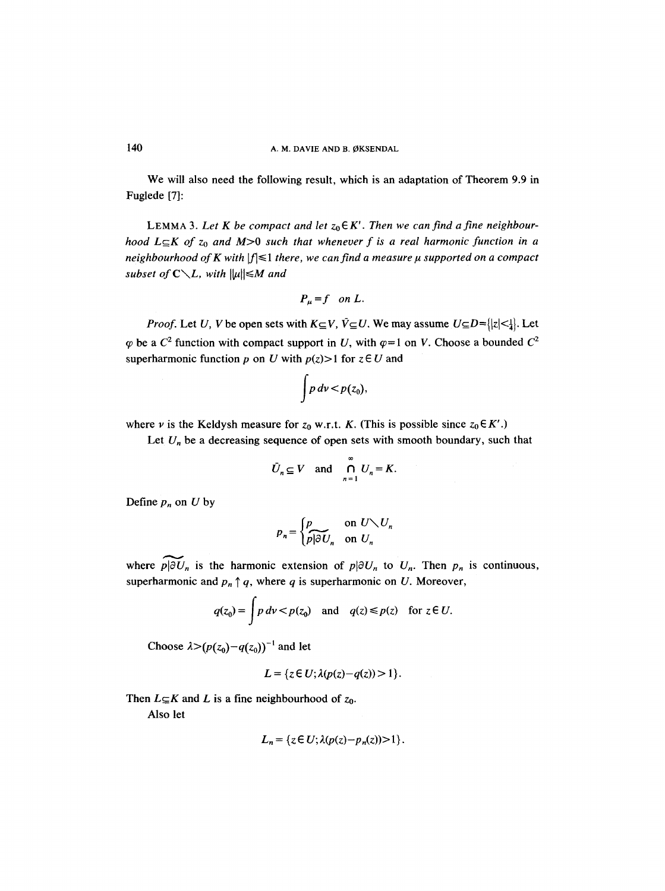We will also need the following result, which is an adaptation of Theorem 9.9 in Fuglede [7]:

LEMMA 3. Let K be compact and let  $z_0 \in K'$ . Then we can find a fine neighbour*hood*  $L \subseteq K$  *of*  $z_0$  *and*  $M>0$  *such that whenever f is a real harmonic function in a neighbourhood of K with*  $|f| \leq 1$  there, we can find a measure  $\mu$  supported on a compact *subset of C* $\setminus$ *L, with*  $\|\mu\| \leq M$  *and* 

$$
P_{\mu}=f \quad on \ L.
$$

*Proof.* Let U, V be open sets with  $K \subseteq V$ ,  $\overline{V} \subseteq U$ . We may assume  $U \subseteq D = \{ |z| < 1 \}$ . Let  $\varphi$  be a  $C^2$  function with compact support in U, with  $\varphi=1$  on V. Choose a bounded  $C^2$ superharmonic function p on U with  $p(z) > 1$  for  $z \in U$  and

$$
\int p\,d\nu < p(z_0),
$$

where v is the Keldysh measure for  $z_0$  w.r.t. K. (This is possible since  $z_0 \in K'$ .)

Let  $U_n$  be a decreasing sequence of open sets with smooth boundary, such that

$$
\bar{U}_n \subseteq V \quad \text{and} \quad \bigcap_{n=1}^{\infty} U_n = K.
$$

Define  $p_n$  on U by

$$
p_n = \begin{cases} p & \text{on } U \setminus U_n \\ p | \partial U_n & \text{on } U_n \end{cases}
$$

where  $p\vert \partial U_n$  is the harmonic extension of  $p\vert \partial U_n$  to  $U_n$ . Then  $p_n$  is continuous, superharmonic and  $p_n \uparrow q$ , where q is superharmonic on U. Moreover,

$$
q(z_0) = \int p \, d\nu < p(z_0) \quad \text{and} \quad q(z) \leq p(z) \quad \text{for } z \in U.
$$

Choose  $\lambda > (p(z_0) - q(z_0))^{-1}$  and let

$$
L = \{z \in U; \lambda(p(z) - q(z)) > 1\}.
$$

Then  $L \subseteq K$  and L is a fine neighbourhood of  $z_0$ .

Also let

$$
L_n = \{ z \in U; \lambda(p(z) - p_n(z)) > 1 \}.
$$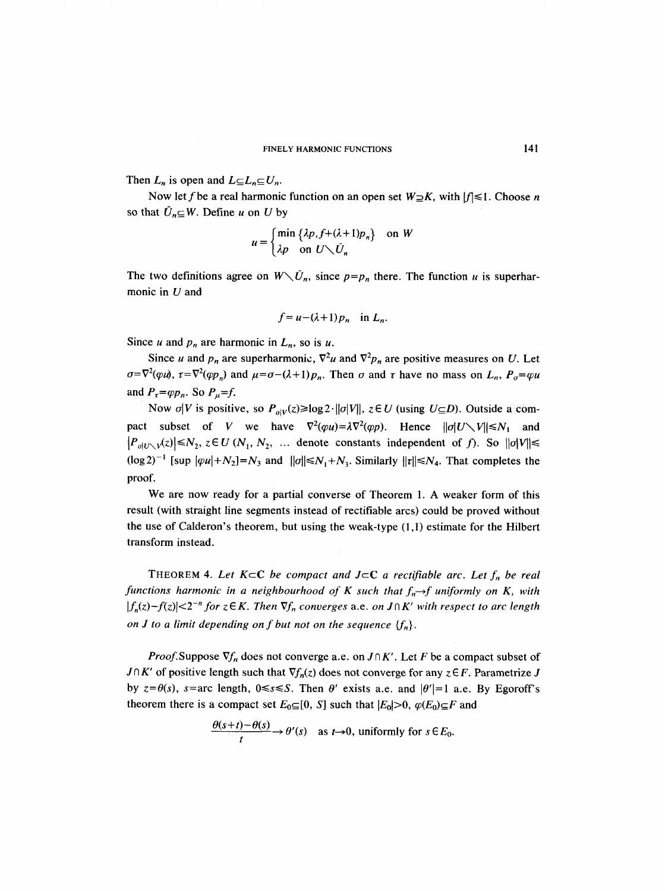Then  $L_n$  is open and  $L \subseteq L_n \subseteq U_n$ .

Now let f be a real harmonic function on an open set  $W \supseteq K$ , with  $|f| \leq 1$ . Choose n so that  $\bar{U}_n \subseteq W$ . Define u on U by

$$
u = \begin{cases} \min\left\{\lambda p, f + (\lambda + 1)p_n\right\} & \text{on } W \\ \lambda p & \text{on } U \setminus U_n \end{cases}
$$

The two definitions agree on  $W\setminus \bar{U}_n$ , since  $p=p_n$  there. The function u is superharmonic in  $U$  and

$$
f = u - (\lambda + 1) p_n \quad \text{in } L_n.
$$

Since u and  $p_n$  are harmonic in  $L_n$ , so is u.

Since u and  $p_n$  are superharmonic,  $\nabla^2 u$  and  $\nabla^2 p_n$  are positive measures on U. Let  $\sigma=\nabla^2(\varphi u)$ ,  $\tau=\nabla^2(\varphi p_n)$  and  $\mu=\sigma-(\lambda+1)p_n$ . Then  $\sigma$  and  $\tau$  have no mass on  $L_n$ ,  $P_\sigma=\varphi u$ and  $P_{\tau} = \varphi p_n$ . So  $P_{\mu} = f$ .

Now  $\sigma|V$  is positive, so  $P_{\sigma|V}(z) \ge \log 2 \cdot ||\sigma|V||$ ,  $z \in U$  (using  $U \subseteq D$ ). Outside a compact subset of *V* we have  $\nabla^2(\varphi u) = \lambda \nabla^2(\varphi p)$ . Hence  $||\varphi|| \le N_1$  and  $|P_{\sigma|U\setminus V}(z)| \le N_2$ ,  $z \in U(N_1, N_2, \dots$  denote constants independent of f). So  $||\sigma|V|| \le$  $(\log 2)^{-1}$  [sup  $|\varphi u| + N_2$ ] = N<sub>3</sub> and  $||\varphi|| \le N_1 + N_3$ . Similarly  $||\tau|| \le N_4$ . That completes the proof.

We are now ready for a partial converse of Theorem 1. A weaker form of this result (with straight line segments instead of rectifiable arcs) could be proved without the use of Calderon's theorem, but using the weak-type (1,1) estimate for the Hilbert transform instead.

THEOREM 4. Let  $K \subset \mathbb{C}$  be compact and  $J \subset \mathbb{C}$  a rectifiable arc. Let  $f_n$  be real *functions harmonic in a neighbourhood of K such that*  $f_n \rightarrow f$  *uniformly on K, with*  $|f_n(z)-f(z)| < 2^{-n}$  for  $z \in K$ . Then  $\nabla f_n$  converges a.e. on  $J \cap K'$  with respect to arc length *on J to a limit depending on f but not on the sequence*  ${f_n}$ .

*Proof.* Suppose  $\nabla f_n$  does not converge a.e. on  $J \cap K'$ . Let F be a compact subset of  $J \cap K'$  of positive length such that  $\nabla f_n(z)$  does not converge for any  $z \in F$ . Parametrize J by  $z=\theta(s)$ ,  $s=$ arc length,  $0 \le s \le S$ . Then  $\theta'$  exists a.e. and  $|\theta'|=1$  a.e. By Egoroff's theorem there is a compact set  $E_0 \subseteq [0, S]$  such that  $|E_0| > 0$ ,  $\varphi(E_0) \subseteq F$  and

$$
\frac{\theta(s+t)-\theta(s)}{t}\to\theta'(s)\quad\text{as }t\to0,\text{ uniformly for }s\in E_0.
$$

 $\sim$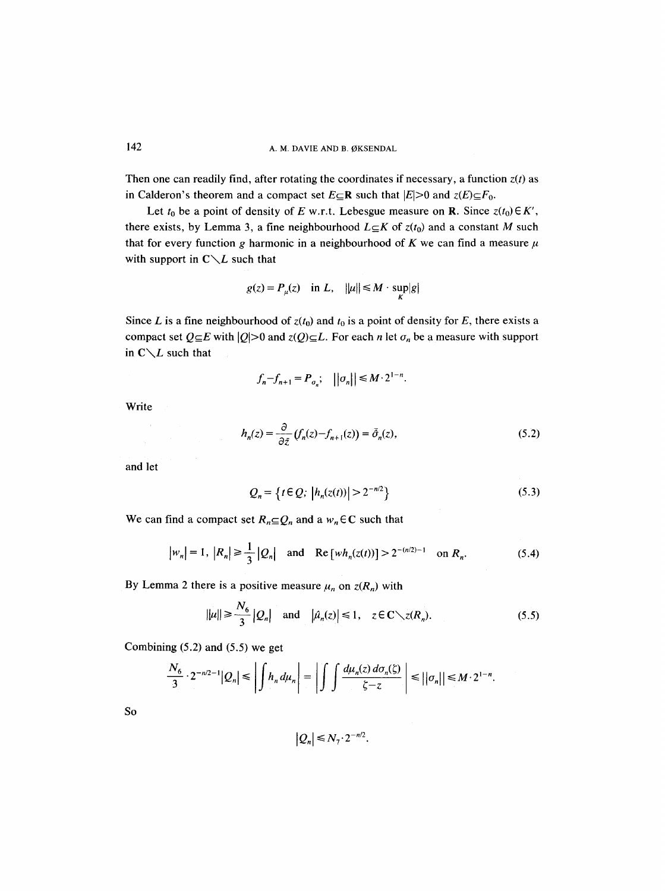Then one can readily find, after rotating the coordinates if necessary, a function  $z(t)$  as in Calderon's theorem and a compact set  $E \subseteq \mathbb{R}$  such that  $|E| > 0$  and  $z(E) \subseteq F_0$ .

Let  $t_0$  be a point of density of E w.r.t. Lebesgue measure on R. Since  $z(t_0) \in K'$ , there exists, by Lemma 3, a fine neighbourhood  $L \subseteq K$  of  $z(t_0)$  and a constant M such that for every function g harmonic in a neighbourhood of K we can find a measure  $\mu$ with support in  $C \setminus L$  such that

$$
g(z) = P_{\mu}(z) \quad \text{in } L, \quad ||\mu|| \le M \cdot \sup_{K} |g|
$$

Since L is a fine neighbourhood of  $z(t_0)$  and  $t_0$  is a point of density for E, there exists a compact set  $Q \subseteq E$  with  $|Q| > 0$  and  $z(Q) \subseteq L$ . For each *n* let  $\sigma_n$  be a measure with support in  $C \setminus L$  such that

$$
f_n - f_{n+1} = P_{\sigma_n}; \quad ||\sigma_n|| \leq M \cdot 2^{1-n}.
$$

Write

$$
h_n(z) = \frac{\partial}{\partial \bar{z}} \left( f_n(z) - f_{n+1}(z) \right) = \bar{\sigma}_n(z), \tag{5.2}
$$

and let

$$
Q_n = \{ t \in Q; \, |h_n(z(t))| > 2^{-n/2} \}
$$
\n(5.3)

We can find a compact set  $R_n \subseteq Q_n$  and a  $w_n \in \mathbb{C}$  such that

$$
|w_n| = 1
$$
,  $|R_n| \ge \frac{1}{3} |Q_n|$  and  $\text{Re}[wh_n(z(t))] > 2^{-(n/2)-1}$  on  $R_n$ . (5.4)

By Lemma 2 there is a positive measure  $\mu_n$  on  $z(R_n)$  with

$$
||\mu|| \ge \frac{N_6}{3} |Q_n| \quad \text{and} \quad |\hat{\mu}_n(z)| \le 1, \quad z \in \mathbb{C} \setminus z(R_n). \tag{5.5}
$$

Combining (5.2) and (5.5) we get

$$
\frac{N_6}{3} \cdot 2^{-n/2-1} |Q_n| \le \left| \int h_n d\mu_n \right| = \left| \int \int \frac{d\mu_n(z) d\sigma_n(\zeta)}{\zeta - z} \right| \le ||\sigma_n|| \le M \cdot 2^{1-n}.
$$

SO

$$
|Q_n| \leq N_\gamma \cdot 2^{-n/2}.
$$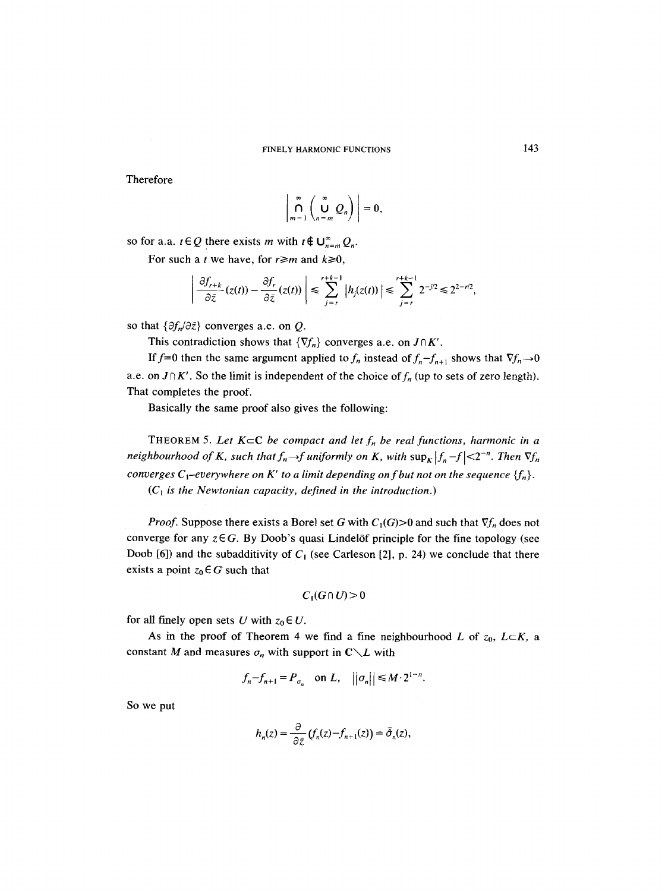Therefore

$$
\left|\bigcap_{m=1}^{\infty}\left(\bigcup_{n=m}^{\infty}Q_n\right)\right|=0,
$$

so for a.a.  $t \in Q$  there exists m with  $t \notin \bigcup_{n=m}^{\infty} Q_n$ .

For such a *t* we have, for  $r \ge m$  and  $k \ge 0$ ,

$$
\left|\frac{\partial f_{r+k}}{\partial \bar{z}}(z(t)) - \frac{\partial f_r}{\partial \bar{z}}(z(t))\right| \leq \sum_{j=r}^{r+k-1} \left|h_j(z(t))\right| \leq \sum_{j=r}^{r+k-1} 2^{-j/2} \leq 2^{2-r/2},
$$

so that  $\{\partial f_n/\partial \bar{z}\}$  converges a.e. on *Q*.

This contradiction shows that  $\{\nabla f_n\}$  converges a.e. on  $J \cap K'$ .

If  $f=0$  then the same argument applied to  $f_n$  instead of  $f_n-f_{n+1}$  shows that  $\nabla f_n \rightarrow 0$ a.e. on  $J \cap K'$ . So the limit is independent of the choice of  $f_n$  (up to sets of zero length). That completes the proof.

Basically the same proof also gives the following:

THEOREM 5. Let  $K \subset \mathbb{C}$  be compact and let  $f_n$  be real functions, harmonic in a *neighbourhood of K, such that*  $f_n \rightarrow f$  uniformly on K, with  $\sup_K |f_n - f| < 2^{-n}$ . Then  $\nabla f_n$ *converges C*<sub>1</sub>-everywhere on K' to a limit depending on f but not on the sequence  ${f_n}$ .  $(C_1$  *is the Newtonian capacity, defined in the introduction.)* 

*Proof.* Suppose there exists a Borel set G with  $C_1(G) > 0$  and such that  $\nabla f_n$  does not converge for any  $z \in G$ . By Doob's quasi Lindelöf principle for the fine topology (see Doob [6]) and the subadditivity of  $C_1$  (see Carleson [2], p. 24) we conclude that there exists a point  $z_0 \in G$  such that

$$
C_1(G\cap U)\geq 0
$$

for all finely open sets U with  $z_0 \in U$ .

As in the proof of Theorem 4 we find a fine neighbourhood L of  $z_0$ ,  $L \subset K$ , a constant M and measures  $\sigma_n$  with support in  $C \setminus L$  with

$$
f_n - f_{n+1} = P_{\sigma_n}
$$
 on L,  $||\sigma_n|| \leq M \cdot 2^{1-n}$ .

So we put

$$
h_n(z) = \frac{\partial}{\partial \bar{z}} \left( f_n(z) - f_{n+1}(z) \right) = \bar{\partial}_n(z),
$$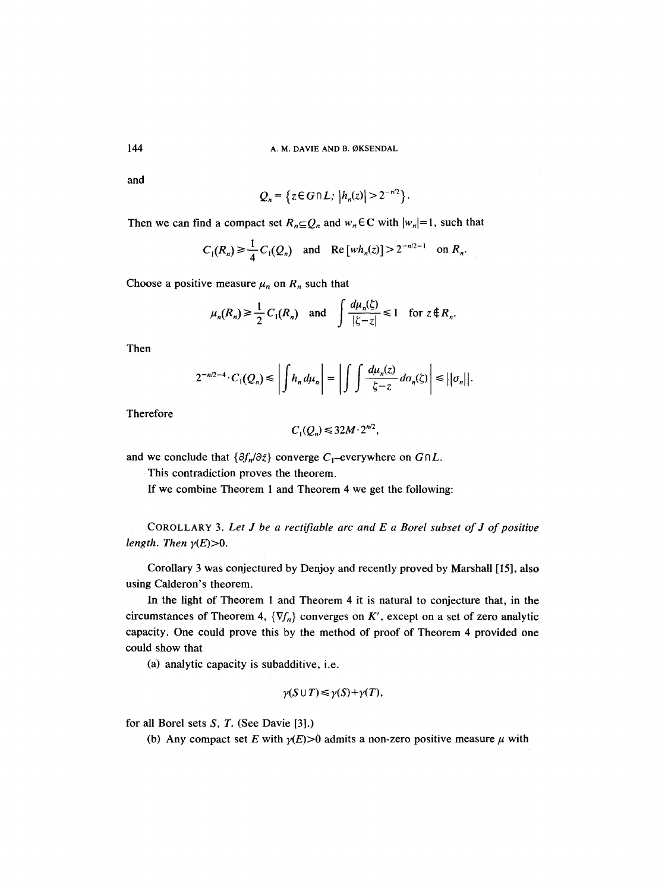and

144

$$
Q_n = \left\{ z \in G \cap L; \ \left| h_n(z) \right| > 2^{-n/2} \right\}.
$$

Then we can find a compact set  $R_n \subseteq Q_n$  and  $w_n \in \mathbb{C}$  with  $|w_n|=1$ , such that

$$
C_1(R_n) \ge \frac{1}{4} C_1(Q_n)
$$
 and  $\text{Re}[wh_n(z)] > 2^{-n/2-1}$  on  $R_n$ .

Choose a positive measure  $\mu_n$  on  $R_n$  such that

$$
\mu_n(R_n) \ge \frac{1}{2} C_1(R_n)
$$
 and  $\int \frac{d\mu_n(\zeta)}{|\zeta - z|} \le 1$  for  $z \notin R_n$ .

Then

$$
2^{-n/2-4} \cdot C_1(Q_n) \le \left| \int h_n d\mu_n \right| = \left| \int \int \frac{d\mu_n(z)}{\zeta - z} d\sigma_n(\zeta) \right| \le ||\sigma_n||.
$$

Therefore

$$
C_1(Q_n) \leqslant 32M \cdot 2^{n/2},
$$

and we conclude that  $\{\partial f_n/\partial \bar{z}\}$  converge  $C_1$ -everywhere on  $G \cap L$ .

This contradiction proves the theorem.

If we combine Theorem 1 and Theorem 4 we get the following:

COROLLARY 3. *Let J be a rectifiable arc and E a Borel subset of J of positive length. Then*  $\gamma(E)$  > 0.

Corollary 3 was conjectured by Denjoy and recently proved by Marshall [15], also using Calderon's theorem.

In the light of Theorem 1 and Theorem 4 it is natural to conjecture that, in the circumstances of Theorem 4,  $\{\nabla f_n\}$  converges on K', except on a set of zero analytic capacity. One could prove this by the method of proof of Theorem 4 provided one could show that

(a) analytic capacity is subadditive, i.e.

$$
\gamma(S \cup T) \leq \gamma(S) + \gamma(T),
$$

for all Borel sets *S, T.* (See Davie [3].)

(b) Any compact set E with  $\gamma(E) > 0$  admits a non-zero positive measure  $\mu$  with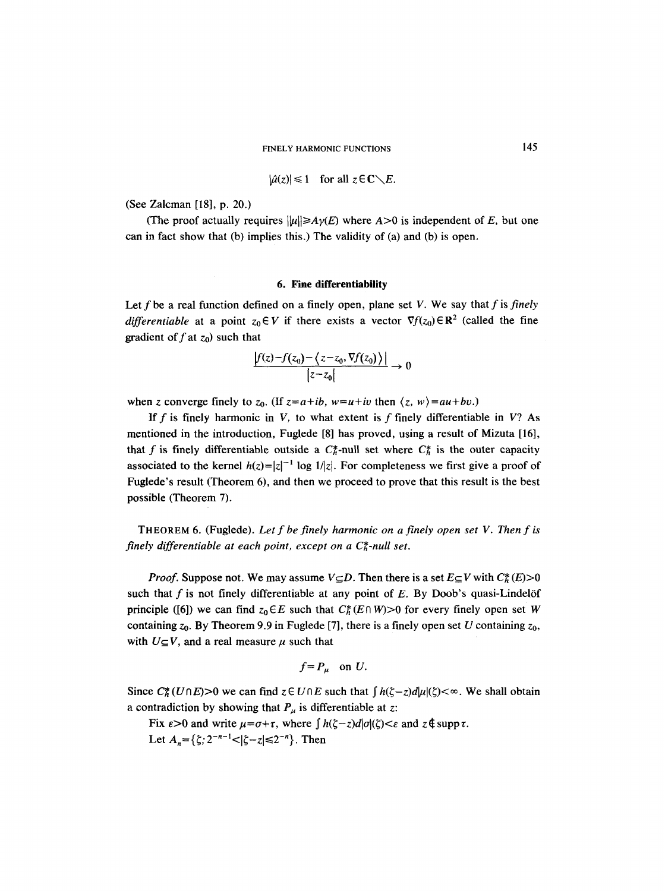$$
|\hat{\mu}(z)| \leq 1 \quad \text{for all } z \in \mathbb{C} \setminus E.
$$

(See Zalcman [18], p. 20.)

(The proof actually requires  $\|\mu\|\geq A\gamma(E)$  where  $A>0$  is independent of *E*, but one can in fact show that (b) implies this.) The validity of (a) and (b) is open.

### **6. Fine differentiability**

Let f be a real function defined on a finely open, plane set V. We say that f is *finely differentiable* at a point  $z_0 \in V$  if there exists a vector  $\nabla f(z_0) \in \mathbb{R}^2$  (called the fine gradient of  $f$  at  $z_0$ ) such that

$$
\frac{|f(z)-f(z_0)-\langle z-z_0,\nabla f(z_0)\rangle|}{|z-z_0|}\to 0
$$

when z converge finely to  $z_0$ . (If  $z=a+ib$ ,  $w=u+iv$  then  $\langle z, w \rangle = au+bv$ .)

If f is finely harmonic in V, to what extent is f finely differentiable in V? As mentioned in the introduction, Fuglede [8] has proved, using a result of Mizuta [16], that f is finely differentiable outside a  $C_b^*$ -null set where  $C_b^*$  is the outer capacity associated to the kernel  $h(z)=|z|^{-1}$  log  $1/|z|$ . For completeness we first give a proof of Fuglede's result (Theorem 6), and then we proceed to prove that this result is the best possible (Theorem 7).

THEOREM 6. (Fuglede). *Let f be finely harmonic on a finely open set V. Then f is finely differentiable at each point, except on a C<sub>n</sub><sup>+</sup>-null set.* 

*Proof.* Suppose not. We may assume  $V\subseteq D$ . Then there is a set  $E\subseteq V$  with  $C_h^*(E) > 0$ such that  $f$  is not finely differentiable at any point of  $E$ . By Doob's quasi-Lindelöf principle ([6]) we can find  $z_0 \in E$  such that  $C_h^*(E \cap W) > 0$  for every finely open set W containing  $z_0$ . By Theorem 9.9 in Fuglede [7], there is a finely open set U containing  $z_0$ , with  $U \subseteq V$ , and a real measure  $\mu$  such that

$$
f = P_{\mu} \quad \text{on } U.
$$

Since  $C_h^*(U \cap E) > 0$  we can find  $z \in U \cap E$  such that  $\int h(\zeta - z) d|\mu|(\zeta) < \infty$ . We shall obtain a contradiction by showing that  $P_{\mu}$  is differentiable at z:

Fix  $\varepsilon > 0$  and write  $\mu = \sigma + \tau$ , where  $\int h(\zeta - z) d|\sigma|(\zeta) < \varepsilon$  and  $z \notin \operatorname{supp} \tau$ . Let  $A_n = \{\zeta; 2^{-n-1} < |\zeta - z| \le 2^{-n}\}\.$  Then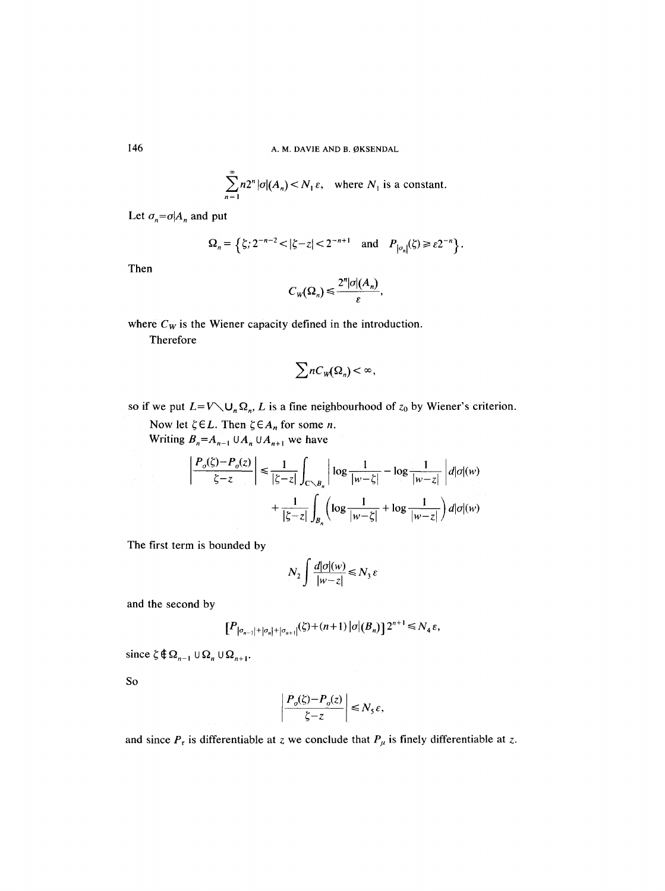$$
\sum_{n=1}^{\infty} n 2^n |\sigma|(A_n) < N_1 \varepsilon, \quad \text{where } N_1 \text{ is a constant.}
$$

Let  $\sigma_n = \sigma | A_n$  and put

$$
\Omega_n = \left\{ \zeta; 2^{-n-2} < |\zeta - z| < 2^{-n+1} \quad \text{and} \quad P_{\left| \sigma_n \right|}(\zeta) \geq \varepsilon 2^{-n} \right\}.
$$

Then

$$
C_{W}(\Omega_{n}) \leq \frac{2^{n} |\sigma|(A_{n})}{\varepsilon},
$$

where  $C_W$  is the Wiener capacity defined in the introduction.

Therefore

$$
\sum n C_{W}(\Omega_{n}) < \infty,
$$

so if we put  $L=V\setminus U_n\Omega_n$ , *L* is a fine neighbourhood of  $z_0$  by Wiener's criterion.

Now let  $\zeta \in L$ . Then  $\zeta \in A_n$  for some *n*.

Writing  $B_n = A_{n-1} \cup A_n \cup A_{n+1}$  we have

$$
\left|\frac{P_o(\zeta) - P_o(z)}{\zeta - z}\right| \le \frac{1}{|\zeta - z|} \int_{C \setminus B_n} \left|\log \frac{1}{|w - \zeta|} - \log \frac{1}{|w - z|} \right| d|\sigma|(w)
$$

$$
+ \frac{1}{|\zeta - z|} \int_{B_n} \left(\log \frac{1}{|w - \zeta|} + \log \frac{1}{|w - z|}\right) d|\sigma|(w)
$$

The first term is bounded by

$$
N_2 \int \frac{d|\sigma|(w)}{|w-z|} \le N_3 \varepsilon
$$

and the second by

$$
[P_{|\sigma_{n-1}|+|\sigma_n|+|\sigma_{n+1}|}(\zeta)+(n+1)|\sigma|(B_n)]2^{n+1} \le N_4 \varepsilon,
$$

since  $\zeta \notin \Omega_{n-1} \cup \Omega_n \cup \Omega_{n+1}$ .

So

$$
\left|\frac{P_o(\xi) - P_o(z)}{\xi - z}\right| \le N_5 \varepsilon,
$$

and since  $P_{\tau}$  is differentiable at z we conclude that  $P_{\mu}$  is finely differentiable at z.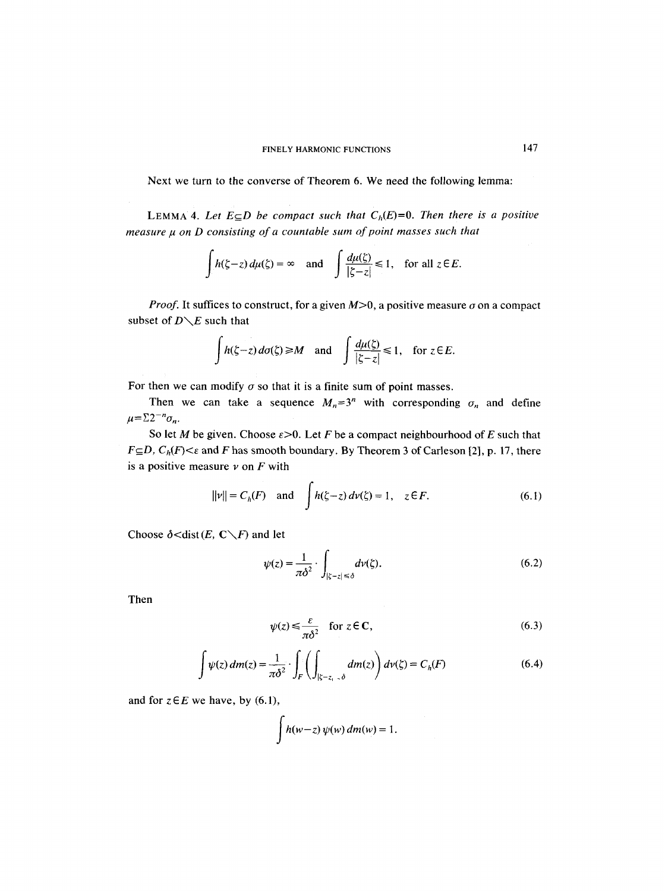Next we turn to the converse of Theorem 6. We need the following lemma:

LEMMA 4. Let  $E \subseteq D$  be compact such that  $C_h(E)=0$ . Then there is a positive *measure p on D consisting of a countable sum of point masses such that* 

$$
\int h(\zeta - z) d\mu(\zeta) = \infty \quad \text{and} \quad \int \frac{d\mu(\zeta)}{|\zeta - z|} \leq 1, \quad \text{for all } z \in E.
$$

*Proof.* It suffices to construct, for a given  $M>0$ , a positive measure  $\sigma$  on a compact subset of *D\E* such that

$$
\int h(\zeta - z) d\sigma(\zeta) \ge M \quad \text{and} \quad \int \frac{d\mu(\zeta)}{|\zeta - z|} \le 1, \quad \text{for } z \in E.
$$

For then we can modify  $\sigma$  so that it is a finite sum of point masses.

Then we can take a sequence  $M_n=3^n$  with corresponding  $\sigma_n$  and define  $\mu = \sum 2^{-n} \sigma_n$ .

So let *M* be given. Choose  $\varepsilon > 0$ . Let *F* be a compact neighbourhood of *E* such that  $F\subseteq D$ ,  $C_h(F)<\varepsilon$  and F has smooth boundary. By Theorem 3 of Carleson [2], p. 17, there is a positive measure  $\nu$  on  $F$  with

$$
||v|| = C_h(F)
$$
 and  $\int h(\zeta - z) dv(\zeta) = 1, z \in F.$  (6.1)

Choose  $\delta$  < dist *(E, C* \ F) and let

$$
\psi(z) = \frac{1}{\pi \delta^2} \cdot \int_{|\zeta - z| \le \delta} d\nu(\zeta). \tag{6.2}
$$

Then

$$
\psi(z) \le \frac{\varepsilon}{\pi \delta^2} \quad \text{for } z \in \mathbb{C}, \tag{6.3}
$$

$$
\int \psi(z) dm(z) = \frac{1}{\pi \delta^2} \cdot \int_F \left( \int_{|\zeta - z_1| > \delta} dm(z) \right) d\nu(\zeta) = C_h(F) \tag{6.4}
$$

and for  $z \in E$  we have, by (6.1),

$$
\int h(w-z)\,\psi(w)\,dm(w)=1.
$$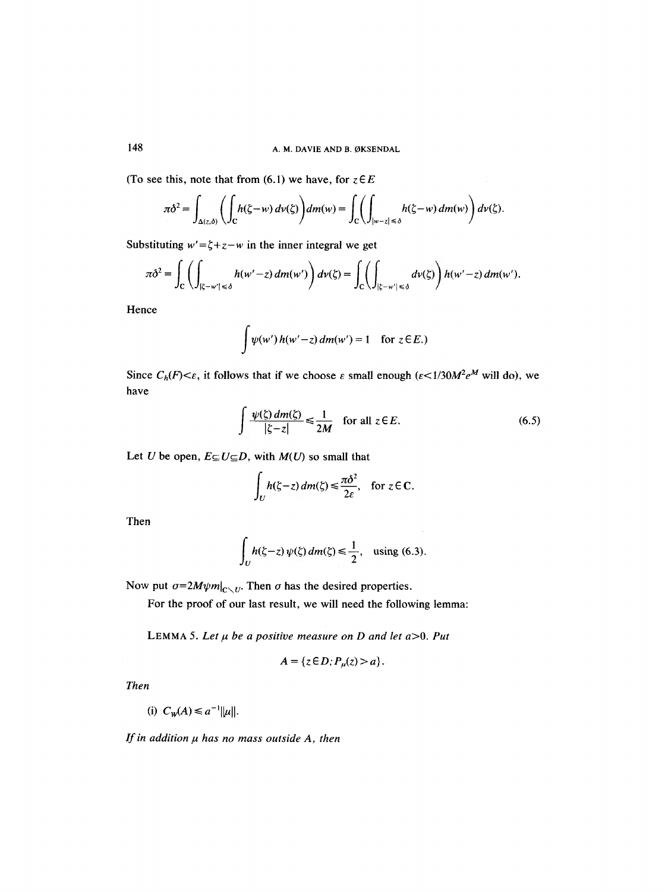(To see this, note that from  $(6.1)$  we have, for  $z \in E$ 

$$
\pi\delta^2 = \int_{\Delta(z,\delta)} \left( \int_C h(\zeta - w) \, dv(\zeta) \right) dm(w) = \int_C \left( \int_{|w-z| \le \delta} h(\zeta - w) \, dm(w) \right) d\nu(\zeta).
$$

Substituting  $w' = \zeta + z - w$  in the inner integral we get

$$
\pi\delta^2 = \int_C \left( \int_{|\zeta - w'| \leq \delta} h(w' - z) dm(w') \right) d\nu(\zeta) = \int_C \left( \int_{|\zeta - w'| \leq \delta} d\nu(\zeta) \right) h(w' - z) dm(w').
$$

Hence

$$
\int \psi(w') h(w'-z) dm(w') = 1 \text{ for } z \in E.
$$

Since  $C_h(F) \leq \varepsilon$ , it follows that if we choose  $\varepsilon$  small enough  $(\varepsilon \leq 1/30 M^2 e^M$  will do), we have

$$
\int \frac{\psi(\zeta) \, dm(\zeta)}{|\zeta - z|} \le \frac{1}{2M} \quad \text{for all } z \in E. \tag{6.5}
$$

 $\sim$ 

Let U be open,  $E \subseteq U \subseteq D$ , with  $M(U)$  so small that

$$
\int_U h(\zeta - z) \, dm(\zeta) \le \frac{\pi \delta^2}{2\varepsilon}, \quad \text{for } z \in \mathbb{C}.
$$

Then

$$
\int_U h(\zeta - z) \, \psi(\zeta) \, dm(\zeta) \le \frac{1}{2}, \quad \text{using (6.3).}
$$

Now put  $\sigma=2M\psi m|_{C\setminus U}$ . Then  $\sigma$  has the desired properties.

For the proof of our last result, we will need the following lemma:

LEMMA 5. Let  $\mu$  be a positive measure on D and let  $a>0$ . Put

$$
A = \{z \in D; P_{\mu}(z) > a\}.
$$

*Then* 

(i)  $C_w(A) \leq a^{-1} ||u||$ .

*If in addition*  $\mu$  *has no mass outside A, then*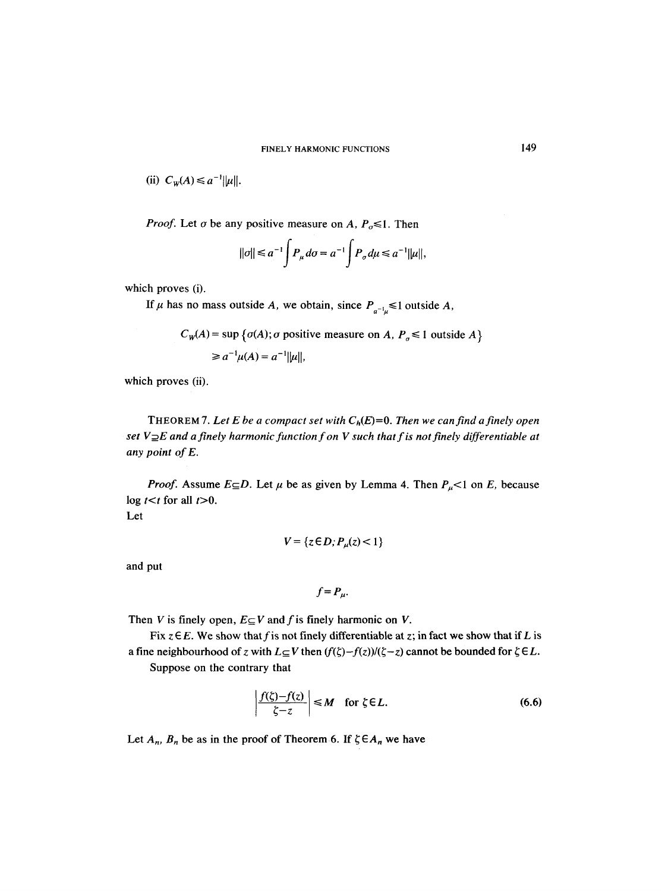(ii) 
$$
C_W(A) \leq a^{-1} ||\mu||
$$
.

*Proof.* Let  $\sigma$  be any positive measure on *A, P<sub>* $\sigma$ *</sub>* \sight. Then

 $\overline{a}$ 

$$
||\sigma|| \le a^{-1} \int P_{\mu} d\sigma = a^{-1} \int P_{\sigma} d\mu \le a^{-1} ||\mu||,
$$

which proves (i).

If  $\mu$  has no mass outside A, we obtain, since  $P_{a^{-1}\mu} \le 1$  outside A,

$$
C_W(A) = \sup \{ \sigma(A) ; \sigma \text{ positive measure on } A, P_{\sigma} \le 1 \text{ outside } A \}
$$
  
\n
$$
\ge a^{-1} \mu(A) = a^{-1} ||\mu||,
$$

which proves (ii).

THEOREM 7. Let E be a compact set with  $C_h(E)=0$ . Then we can find a finely open *set V* $\supseteq$ *E* and a finely harmonic function f on V such that f is not finely differentiable at *any point of E.* 

*Proof.* Assume  $E \subseteq D$ . Let  $\mu$  be as given by Lemma 4. Then  $P_{\mu}$ <1 on *E*, because  $\log t < t$  for all  $t > 0$ . Let

$$
V = \{z \in D; P_{\mu}(z) < 1\}
$$

and put

$$
f = P_{\mu}.
$$

Then V is finely open,  $E \subseteq V$  and f is finely harmonic on V.

Fix  $z \in E$ . We show that f is not finely differentiable at z; in fact we show that if L is a fine neighbourhood of z with  $L \subseteq V$  then  $(f(\zeta)-f(z))/(\zeta-z)$  cannot be bounded for  $\zeta \in L$ .

Suppose on the contrary that

$$
\left|\frac{f(\zeta)-f(z)}{\zeta-z}\right| \le M \quad \text{for } \zeta \in L. \tag{6.6}
$$

Let  $A_n$ ,  $B_n$  be as in the proof of Theorem 6. If  $\zeta \in A_n$  we have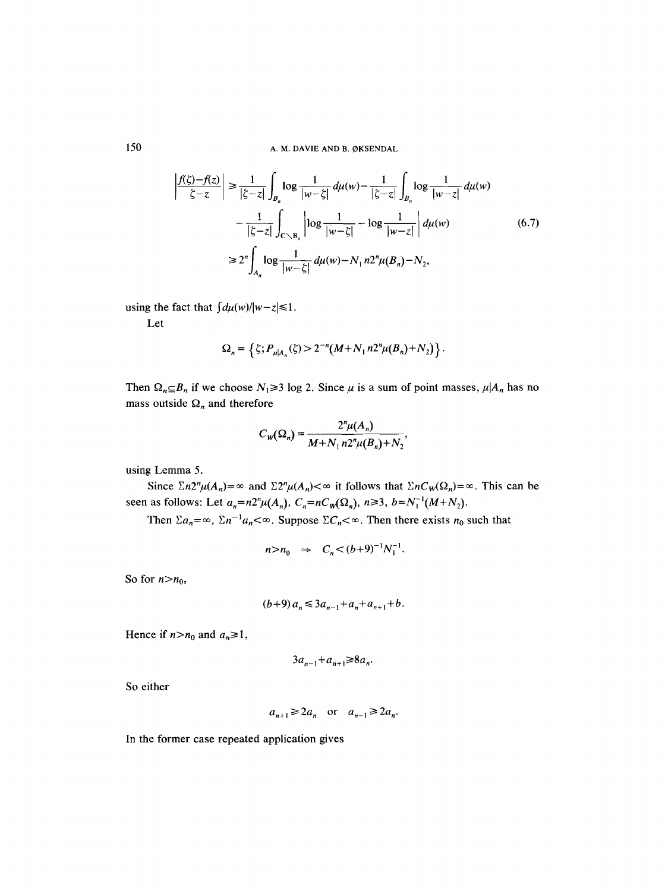$$
\frac{f(\zeta) - f(z)}{\zeta - z} \Big| \ge \frac{1}{|\zeta - z|} \int_{B_n} \log \frac{1}{|w - \zeta|} d\mu(w) - \frac{1}{|\zeta - z|} \int_{B_n} \log \frac{1}{|w - z|} d\mu(w)
$$

$$
- \frac{1}{|\zeta - z|} \int_{C \setminus B_n} \left| \log \frac{1}{|w - \zeta|} - \log \frac{1}{|w - z|} \right| d\mu(w)
$$

$$
\ge 2^n \int_{A_n} \log \frac{1}{|w - \zeta|} d\mu(w) - N_1 n 2^n \mu(B_n) - N_2,
$$
(6.7)

using the fact that  $\int d\mu(w)/|w-z| \leq 1$ .

Let

$$
\Omega_n = \left\{ \zeta; P_{\mu|A_n}(\zeta) > 2^{-n} (M + N_1 n 2^n \mu(B_n) + N_2) \right\}.
$$

Then  $\Omega_n \subseteq B_n$  if we choose  $N_1 \ge 3$  log 2. Since  $\mu$  is a sum of point masses,  $\mu | A_n$  has no mass outside  $\Omega_n$  and therefore

$$
C_{W}(\Omega_{n}) = \frac{2^{n}\mu(A_{n})}{M + N_{1}n2^{n}\mu(B_{n}) + N_{2}},
$$

using Lemma 5.

Since  $\sum n2^n \mu(A_n) = \infty$  and  $\sum 2^n \mu(A_n) < \infty$  it follows that  $\sum nC_w(\Omega_n) = \infty$ . This can be seen as follows: Let  $a_n = n2^n \mu(A_n)$ ,  $C_n = nC_w(\Omega_n)$ ,  $n \ge 3$ ,  $b = N_1^{-1}(M+N_2)$ .

Then  $\Sigma a_n = \infty$ ,  $\Sigma n^{-1} a_n < \infty$ . Suppose  $\Sigma C_n < \infty$ . Then there exists  $n_0$  such that

$$
n>n_0 \Rightarrow C_n < (b+9)^{-1}N_1^{-1}.
$$

So for  $n>n_0$ ,

$$
(b+9)a_n \leq 3a_{n-1} + a_n + a_{n+1} + b.
$$

Hence if  $n>n_0$  and  $a_n \ge 1$ ,

$$
3a_{n-1}+a_{n+1} \ge 8a_n.
$$

So either

$$
a_{n+1} \geq 2a_n
$$
 or  $a_{n-1} \geq 2a_n$ .

In the former case repeated application gives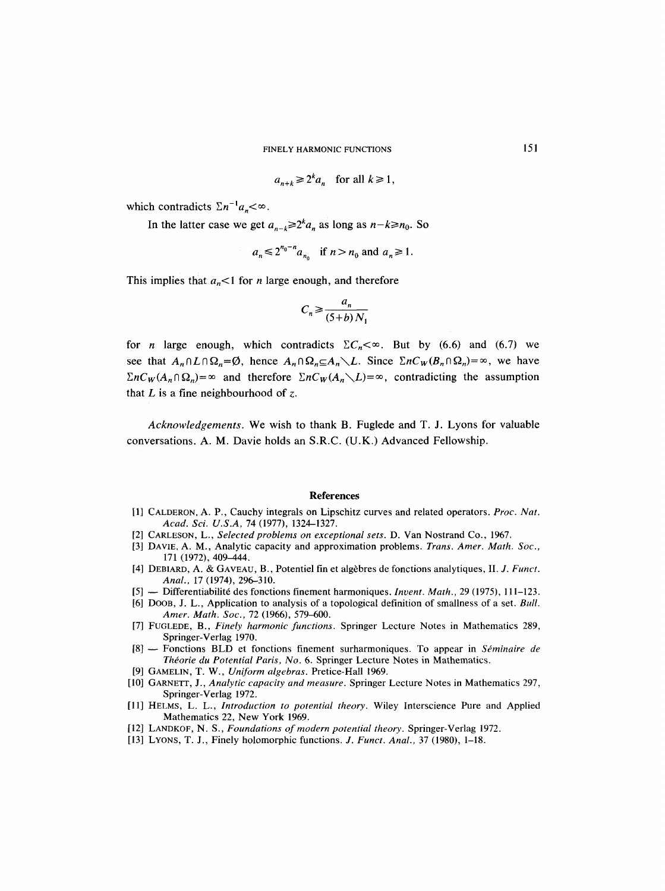$$
a_{n+k} \ge 2^k a_n \quad \text{for all } k \ge 1,
$$

which contradicts  $\Sigma n^{-1} a_n < \infty$ .

In the latter case we get  $a_{n-k} \geq 2^k a_n$  as long as  $n-k \geq n_0$ . So

$$
a_n \leq 2^{n_0 - n} a_{n_0} \quad \text{if } n > n_0 \text{ and } a_n \geq 1.
$$

This implies that  $a_n < 1$  for *n* large enough, and therefore

$$
C_n \ge \frac{a_n}{(5+b)N_1}
$$

for *n* large enough, which contradicts  $\sum C_n < \infty$ . But by (6.6) and (6.7) we see that  $A_n \cap L \cap \Omega_n = \emptyset$ , hence  $A_n \cap \Omega_n \subseteq A_n \setminus L$ . Since  $\sum n C_w (B_n \cap \Omega_n) = \infty$ , we have  $\sum nC_W(A_n \cap \Omega_n) = \infty$  and therefore  $\sum nC_W(A_n \setminus L) = \infty$ , contradicting the assumption that  $L$  is a fine neighbourhood of  $z$ .

*Acknowledgements.* We wish to thank B. Fuglede and T. J. Lyons for valuable conversations. A. M. Davie holds an S.R.C. (U.K.) Advanced Fellowship.

### **References**

- [1] CALDERON, A. P., Cauchy integrals on Lipschitz curves and related operators. *Proc. Nat. Acad. Sci. U.S.A,* 74 (1977), 1324-1327.
- [2] CARLESON, L., *Selected problems on exceptional sets.* D. Van Nostrand Co., 1967.
- [3] DAVIE, A. M., Analytic capacity and approximation problems. *Trans. Amer. Math. Sot.,*  171 (1972), 409-444.
- [4] DEBIARD, A. & GAVEAU, B., Potentiel fin et algèbres de fonctions analytiques, II. *J. Funct. Anal.,* 17 (1974), 296-310.
- [5] -- Differentiabilit6 des fonctions finement harmoniques. *Invent. Math.,* 29 (1975), 1 i 1-123.
- [6] DOOB, J. L., Application to analysis of a topological definition of smallness of a set. *Bull. Amer. Math. Soc.,* 72 (1966), 579-600.
- [7] FUGLEDE, B., *Finely harmonic functions.* Springer Lecture Notes in Mathematics 289, Springer-Verlag 1970.
- [8] -- Fonctions BLD et fonctions finement surharmoniques. To appear in *Séminaire de Théorie du Potential Paris, No.* 6. Springer Lecture Notes in Mathematics.
- [9] GAMELIN, T. W., *Uniform algebras.* Pretice-Hall 1969.
- [10] GARNETT, J., *Analytic capacity and measure.* Springer Lecture Notes in Mathematics 297, Springer-Verlag 1972.
- [11] HELMS, L. L., *Introduction to potential theory.* Wiley Interscience Pure and Applied Mathematics 22, New York 1969.
- [12] LANDKOF, N. S., *Foundations of modern potential theory.* Springer-Verlag 1972.
- [13] LYONS, T. J., Finely holomorphic functions. *J. Funct. Anal.,* 37 (1980), 1-18.